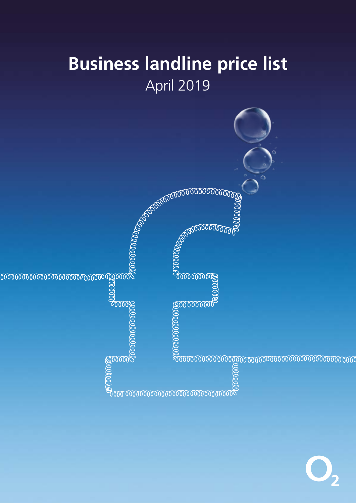# Business landline price list April 2019

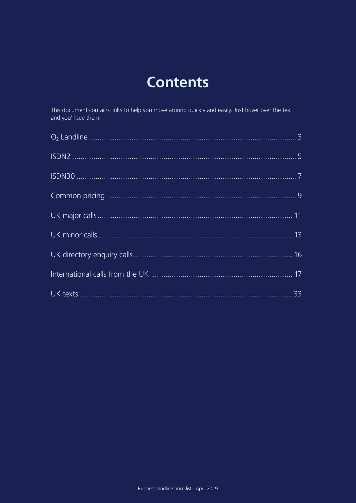# **Contents**

This document contains links to help you move around quickly and easily. Just hover over the text and you'll see them.

| 33 |
|----|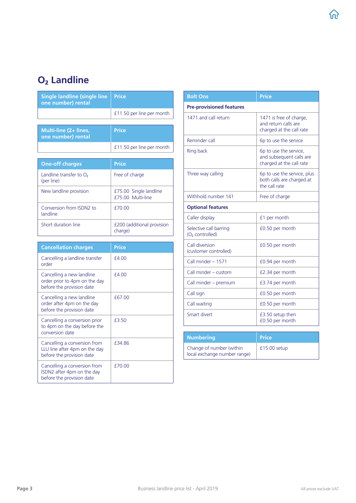## <span id="page-2-0"></span>O<sub>2</sub> Landline

| <b>Single landline (single line</b><br>one number) rental                                  | Price                                       |
|--------------------------------------------------------------------------------------------|---------------------------------------------|
|                                                                                            | £11.50 per line per month                   |
| Multi-line (2+ lines,<br>one number) rental                                                | Price                                       |
|                                                                                            | £11.50 per line per month                   |
| <b>One-off charges</b>                                                                     | <b>Price</b>                                |
| Landline transfer to $O2$<br>(per line)                                                    | Free of charge                              |
| New landline provision                                                                     | £75.00 Single landline<br>£75.00 Multi-line |
| Conversion from ISDN2 to<br>landline                                                       | £70.00                                      |
| Short duration line                                                                        | £200 (additional provision<br>charge)       |
| <b>Cancellation charges</b>                                                                | Price                                       |
| Cancelling a landline transfer<br>order                                                    | £4.00                                       |
| Cancelling a new landline<br>order prior to 4pm on the day<br>before the provision date    | £4.00                                       |
| Cancelling a new landline<br>order after 4pm on the day<br>before the provision date       | £67.00                                      |
| Cancelling a conversion prior<br>to 4pm on the day before the<br>conversion date           | £3.50                                       |
| Cancelling a conversion from<br>LLU line after 4pm on the day<br>before the provision date | £34.86                                      |
|                                                                                            |                                             |

| <b>Bolt Ons</b>                                          | <b>Price</b>                                                                   |  |
|----------------------------------------------------------|--------------------------------------------------------------------------------|--|
| <b>Pre-provisioned features</b>                          |                                                                                |  |
| 1471 and call return                                     | 1471 is free of charge,<br>and return calls are<br>charged at the call rate    |  |
| Reminder call                                            | 6p to use the service                                                          |  |
| Ring back                                                | 6p to use the service,<br>and subsequent calls are<br>charged at the call rate |  |
| Three way calling                                        | 6p to use the service, plus<br>both calls are charged at<br>the call rate      |  |
| Withhold number 141                                      | Free of charge                                                                 |  |
| <b>Optional features</b>                                 |                                                                                |  |
| Caller display                                           | £1 per month                                                                   |  |
| Selective call barring<br>(O <sub>2</sub> controlled)    | £0.50 per month                                                                |  |
| Call diversion<br>(customer controlled)                  | £0.50 per month                                                                |  |
| Call minder - 1571                                       | £0.94 per month                                                                |  |
| Call minder - custom                                     | £2.34 per month                                                                |  |
| Call minder - premium                                    | £3.74 per month                                                                |  |
| Call sign                                                | £0.50 per month                                                                |  |
| Call waiting                                             | £0.50 per month                                                                |  |
| Smart divert                                             | £3.50 setup then<br>£0.50 per month                                            |  |
| <b>Numbering</b>                                         | <b>Price</b>                                                                   |  |
| Change of number (within<br>local exchange number range) | $£15.00$ setup                                                                 |  |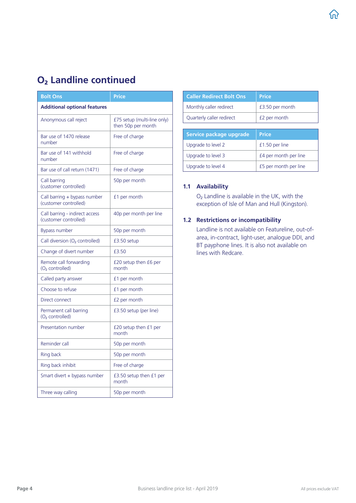### O<sub>2</sub> Landline continued

| <b>Bolt Ons</b>                                         | <b>Price</b>                                      |
|---------------------------------------------------------|---------------------------------------------------|
| <b>Additional optional features</b>                     |                                                   |
| Anonymous call reject                                   | £75 setup (multi-line only)<br>then 50p per month |
| Bar use of 1470 release<br>number                       | Free of charge                                    |
| Bar use of 141 withhold<br>number                       | Free of charge                                    |
| Bar use of call return (1471)                           | Free of charge                                    |
| Call barring<br>(customer controlled)                   | 50p per month                                     |
| Call barring + bypass number<br>(customer controlled)   | £1 per month                                      |
| Call barring - indirect access<br>(customer controlled) | 40p per month per line                            |
| Bypass number                                           | 50p per month                                     |
| Call diversion $(O_2 \text{ controlled})$               | $£3.50$ setup                                     |
| Change of divert number                                 | £3.50                                             |
| Remote call forwarding<br>(O <sub>2</sub> controlled)   | £20 setup then £6 per<br>month                    |
| Called party answer                                     | £1 per month                                      |
| Choose to refuse                                        | £1 per month                                      |
| Direct connect                                          | £2 per month                                      |
| Permanent call barring<br>(O <sub>2</sub> controlled)   | £3.50 setup (per line)                            |
| Presentation number                                     | £20 setup then £1 per<br>month                    |
| Reminder call                                           | 50p per month                                     |
| Ring back                                               | 50p per month                                     |
| Ring back inhibit                                       | Free of charge                                    |
| Smart divert + bypass number                            | $£3.50$ setup then $£1$ per<br>month              |
| Three way calling                                       | 50p per month                                     |

| <b>Caller Redirect Bolt Ons</b> | <b>Price</b>    |
|---------------------------------|-----------------|
| Monthly caller redirect         | £3.50 per month |
| Quarterly caller redirect       | £2 per month    |
|                                 |                 |

| Service package upgrade | <b>Price</b>          |
|-------------------------|-----------------------|
| Upgrade to level 2      | £1.50 per line        |
| Upgrade to level 3      | £4 per month per line |
| Upgrade to level 4      | £5 per month per line |

#### 1.1 Availability

 $O<sub>2</sub>$  Landline is available in the UK, with the exception of Isle of Man and Hull (Kingston).

#### 1.2 Restrictions or incompatibility

Landline is not available on Featureline, out-ofarea, in-contract, light-user, analogue DDI, and BT payphone lines. It is also not available on lines with Redcare.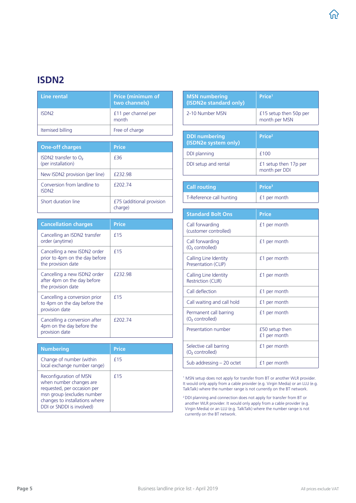### <span id="page-4-0"></span>ISDN2

| Line rental             | <b>Price (minimum of</b><br>two channels) |
|-------------------------|-------------------------------------------|
| <b>ISDN<sub>2</sub></b> | £11 per channel per<br>month              |
| Itemised billing        | Free of charge                            |

| <b>One-off charges</b>                           | <b>Price</b>                         |
|--------------------------------------------------|--------------------------------------|
| ISDN2 transfer to $O2$<br>(per installation)     | f36                                  |
| New ISDN2 provision (per line)                   | £232.98                              |
| Conversion from landline to<br>ISDN <sub>2</sub> | <b>f20274</b>                        |
| Short duration line                              | £75 (additional provision<br>charge) |

| <b>Cancellation charges</b>                                                          | <b>Price</b> |
|--------------------------------------------------------------------------------------|--------------|
| Cancelling an ISDN2 transfer<br>order (anytime)                                      | f15          |
| Cancelling a new ISDN2 order<br>prior to 4pm on the day before<br>the provision date | £15          |
| Cancelling a new ISDN2 order<br>after 4pm on the day before<br>the provision date    | £232.98      |
| Cancelling a conversion prior<br>to 4pm on the day before the<br>provision date      | f15          |
| Cancelling a conversion after<br>4pm on the day before the<br>provision date         | £202.74      |

| <b>Numbering</b>                                                                                                                                                              | <b>Price</b> |
|-------------------------------------------------------------------------------------------------------------------------------------------------------------------------------|--------------|
| Change of number (within<br>local exchange number range)                                                                                                                      | f15          |
| Reconfiguration of MSN<br>when number changes are<br>requested, per occasion per<br>msn group (excludes number<br>changes to installations where<br>DDI or SNDDI is involved) | f15          |

| <b>MSN numbering</b><br>(ISDN2e standard only)        | Price <sup>1</sup>                      |
|-------------------------------------------------------|-----------------------------------------|
| 2-10 Number MSN                                       | £15 setup then 50p per<br>month per MSN |
|                                                       |                                         |
| <b>DDI numbering</b><br>(ISDN2e system only)          | Price <sup>2</sup>                      |
| DDI planning                                          | £100                                    |
| DDI setup and rental                                  | £1 setup then 17p per<br>month per DDI  |
|                                                       |                                         |
| <b>Call routing</b>                                   | Price <sup>3</sup>                      |
| T-Reference call hunting                              | £1 per month                            |
|                                                       |                                         |
| <b>Standard Bolt Ons</b>                              | Price                                   |
| Call forwarding<br>(customer controlled)              | £1 per month                            |
| Call forwarding<br>(O <sub>2</sub> controlled)        | £1 per month                            |
| Calling Line Identity<br>Presentation (CLIP)          | £1 per month                            |
| Calling Line Identity<br><b>Restriction (CLIR)</b>    | £1 per month                            |
| Call deflection                                       | £1 per month                            |
| Call waiting and call hold                            | £1 per month                            |
| Permanent call barring<br>(O <sub>2</sub> controlled) | £1 per month                            |
| Presentation number                                   | £50 setup then<br>£1 per month          |
| Selective call barring<br>(O <sub>2</sub> controlled) | £1 per month                            |
| Sub addressing $-20$ octet                            | £1 per month                            |

1 MSN setup does not apply for transfer from BT or another WLR provider. It would only apply from a cable provider (e.g. Virgin Media) or an LLU (e.g. TalkTalk) where the number range is not currently on the BT network.

2 DDI planning and connection does not apply for transfer from BT or another WLR provider. It would only apply from a cable provider (e.g. Virgin Media) or an LLU (e.g. TalkTalk) where the number range is not currently on the BT network.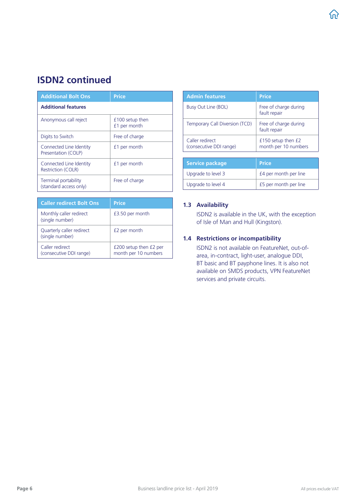### ISDN2 continued

| <b>Additional Bolt Ons</b>                     | <b>Price</b>                    |  |
|------------------------------------------------|---------------------------------|--|
| <b>Additional features</b>                     |                                 |  |
| Anonymous call reject                          | £100 setup then<br>£1 per month |  |
| Digits to Switch                               | Free of charge                  |  |
| Connected Line Identity<br>Presentation (COLP) | £1 per month                    |  |
| Connected Line Identity<br>Restriction (COLR)  | £1 per month                    |  |
| Terminal portability<br>(standard access only) | Free of charge                  |  |

| <b>Caller redirect Bolt Ons</b>              | <b>Price</b>                                   |
|----------------------------------------------|------------------------------------------------|
| Monthly caller redirect<br>(single number)   | £3.50 per month                                |
| Quarterly caller redirect<br>(single number) | £2 per month                                   |
| Caller redirect<br>(consecutive DDI range)   | £200 setup then £2 per<br>month per 10 numbers |

| <b>Admin features</b>                      | <b>Price</b>                               |  |
|--------------------------------------------|--------------------------------------------|--|
| Busy Out Line (BOL)                        | Free of charge during<br>fault repair      |  |
| Temporary Call Diversion (TCD)             | Free of charge during<br>fault repair      |  |
| Caller redirect<br>(consecutive DDI range) | £150 setup then £2<br>month per 10 numbers |  |
|                                            |                                            |  |
| <b>Service package</b>                     | <b>Price</b>                               |  |
| Upgrade to level 3                         | £4 per month per line                      |  |
| Upgrade to level 4                         | £5 per month per line                      |  |

#### 1.3 Availability

ISDN2 is available in the UK, with the exception of Isle of Man and Hull (Kingston).

#### 1.4 Restrictions or incompatibility

ISDN2 is not available on FeatureNet, out-ofarea, in-contract, light-user, analogue DDI, BT basic and BT payphone lines. It is also not available on SMDS products, VPN FeatureNet services and private circuits.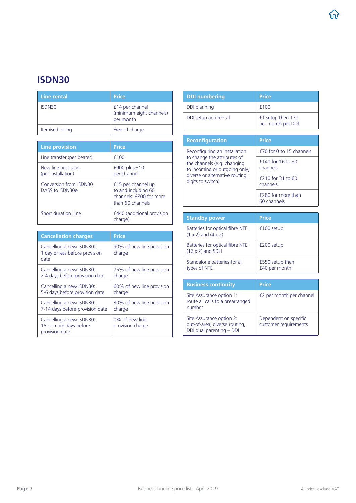### <span id="page-6-0"></span>ISDN30

| Line rental      | <b>Price</b>                                             |
|------------------|----------------------------------------------------------|
| ISDN30           | £14 per channel<br>(minimum eight channels)<br>per month |
| Itemised billing | Free of charge                                           |

| <b>Line provision</b>                     | Price                                                                                    |
|-------------------------------------------|------------------------------------------------------------------------------------------|
| Line transfer (per bearer)                | £100                                                                                     |
| New line provision<br>(per installation)  | $£900$ plus $£10$<br>per channel                                                         |
| Conversion from ISDN30<br>DASS to ISDN30e | £15 per channel up<br>to and including 60<br>channels: £800 for more<br>than 60 channels |
| Short duration Line                       | £440 (additional provision<br>charge)                                                    |

| <b>Cancellation charges</b>                                          | <b>Price</b>                        |  |
|----------------------------------------------------------------------|-------------------------------------|--|
| Cancelling a new ISDN30:<br>1 day or less before provision<br>date   | 90% of new line provision<br>charge |  |
| Cancelling a new ISDN30:                                             | 75% of new line provision           |  |
| 2-4 days before provision date                                       | charge                              |  |
| Cancelling a new ISDN30:                                             | 60% of new line provision           |  |
| 5-6 days before provision date                                       | charge                              |  |
| Cancelling a new ISDN30:                                             | 30% of new line provision           |  |
| 7-14 days before provision date                                      | charge                              |  |
| Cancelling a new ISDN30:<br>15 or more days before<br>provision date | 0% of new line<br>provision charge  |  |

| <b>DDI</b> numbering | <b>Price</b>                           |
|----------------------|----------------------------------------|
| DDI planning         | £100                                   |
| DDI setup and rental | £1 setup then 17p<br>per month per DDI |

| <b>Reconfiguration</b>                                                                                                                                                               | <b>Price</b>                      |  |
|--------------------------------------------------------------------------------------------------------------------------------------------------------------------------------------|-----------------------------------|--|
| Reconfiguring an installation<br>to change the attributes of<br>the channels (e.g. changing<br>to incoming or outgoing only,<br>diverse or alternative routing,<br>digits to switch) | £70 for 0 to 15 channels          |  |
|                                                                                                                                                                                      | £140 for 16 to 30<br>channels     |  |
|                                                                                                                                                                                      | £210 for 31 to 60<br>channels     |  |
|                                                                                                                                                                                      | £280 for more than<br>60 channels |  |
|                                                                                                                                                                                      |                                   |  |
| <b>Standby power</b>                                                                                                                                                                 | <b>Price</b>                      |  |
| Batteries for optical fibre NTE<br>$(1 \times 2)$ and $(4 \times 2)$                                                                                                                 | £100 setup                        |  |
| Batteries for optical fibre NTE<br>$(16 \times 2)$ and SDH                                                                                                                           | £200 setup                        |  |
| Standalone batteries for all<br>types of NTE                                                                                                                                         | £550 setup then<br>£40 per month  |  |

| <b>Business continuity</b>                                                            | <b>Price</b>                                   |
|---------------------------------------------------------------------------------------|------------------------------------------------|
| Site Assurance option 1:<br>route all calls to a prearranged<br>number                | £2 per month per channel                       |
| Site Assurance option 2:<br>out-of-area, diverse routing,<br>DDI dual parenting - DDI | Dependent on specific<br>customer requirements |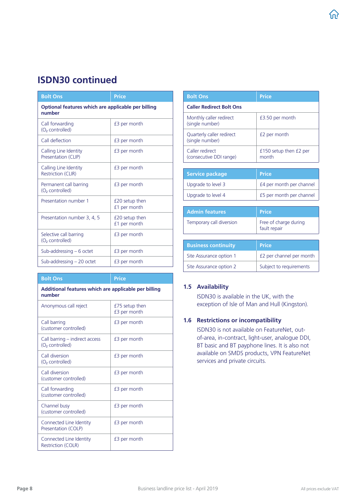### ISDN30 continued

| <b>Bolt Ons</b>                                              | <b>Price</b>                   |  |
|--------------------------------------------------------------|--------------------------------|--|
| Optional features which are applicable per billing<br>number |                                |  |
| Call forwarding<br>(O <sub>2</sub> controlled)               | £3 per month                   |  |
| Call deflection                                              | £3 per month                   |  |
| Calling Line Identity<br>Presentation (CLIP)                 | £3 per month                   |  |
| Calling Line Identity<br><b>Restriction (CLIR)</b>           | £3 per month                   |  |
| Permanent call barring<br>(O <sub>2</sub> controlled)        | £3 per month                   |  |
| Presentation number 1                                        | £20 setup then<br>£1 per month |  |
| Presentation number 3, 4, 5                                  | £20 setup then<br>£1 per month |  |
| Selective call barring<br>(O <sub>2</sub> controlled)        | £3 per month                   |  |
| Sub-addressing $-6$ octet                                    | £3 per month                   |  |
| Sub-addressing $-20$ octet                                   | £3 per month                   |  |

| <b>Bolt Ons</b>                                                | Price                          |  |
|----------------------------------------------------------------|--------------------------------|--|
| Additional features which are applicable per billing<br>number |                                |  |
| Anonymous call reject                                          | £75 setup then<br>£3 per month |  |
| Call barring<br>(customer controlled)                          | £3 per month                   |  |
| Call barring – indirect access<br>(O <sub>2</sub> controlled)  | £3 per month                   |  |
| Call diversion<br>(O <sub>2</sub> controlled)                  | £3 per month                   |  |
| Call diversion<br>(customer controlled)                        | £3 per month                   |  |
| Call forwarding<br>(customer controlled)                       | £3 per month                   |  |
| Channel busy<br>(customer controlled)                          | £3 per month                   |  |
| Connected Line Identity<br>Presentation (COLP)                 | £3 per month                   |  |
| Connected Line Identity<br><b>Restriction (COLR)</b>           | £3 per month                   |  |

| <b>Bolt Ons</b>                              | Price                                 |  |
|----------------------------------------------|---------------------------------------|--|
| <b>Caller Redirect Bolt Ons</b>              |                                       |  |
| Monthly caller redirect<br>(single number)   | £3.50 per month                       |  |
| Quarterly caller redirect<br>(single number) | £2 per month                          |  |
| Caller redirect<br>(consecutive DDI range)   | £150 setup then £2 per<br>month       |  |
|                                              |                                       |  |
| <b>Service package</b>                       | Price                                 |  |
| Upgrade to level 3                           | £4 per month per channel              |  |
| Upgrade to level 4                           | £5 per month per channel              |  |
|                                              |                                       |  |
| <b>Admin features</b>                        | <b>Price</b>                          |  |
| Temporary call diversion                     | Free of charge during<br>fault repair |  |
|                                              |                                       |  |
| <b>Business continuity</b>                   | Price                                 |  |
| Site Assurance option 1                      | £2 per channel per month              |  |
| Site Assurance option 2                      | Subject to requirements               |  |

#### 1.5 Availability

ISDN30 is available in the UK, with the exception of Isle of Man and Hull (Kingston).

### 1.6 Restrictions or incompatibility

ISDN30 is not available on FeatureNet, outof-area, in-contract, light-user, analogue DDI, BT basic and BT payphone lines. It is also not available on SMDS products, VPN FeatureNet services and private circuits.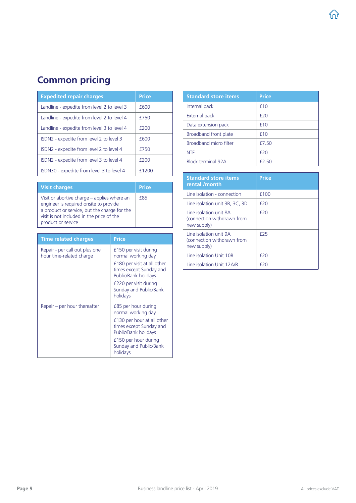# <span id="page-8-0"></span>Common pricing

| <b>Expedited repair charges</b>             | <b>Price</b> |
|---------------------------------------------|--------------|
| Landline - expedite from level 2 to level 3 | £600         |
| Landline - expedite from level 2 to level 4 | £750         |
| Landline - expedite from level 3 to level 4 | £200         |
| ISDN2 - expedite from level 2 to level 3    | £600         |
| ISDN2 - expedite from level 2 to level 4    | £750         |
| ISDN2 - expedite from level 3 to level 4    | f200         |
| ISDN30 - expedite from level 3 to level 4   | £1200        |

| <b>Visit charges</b>                                                                                                                                                                                     | <b>Price</b> |
|----------------------------------------------------------------------------------------------------------------------------------------------------------------------------------------------------------|--------------|
| Visit or abortive charge – applies where an<br>engineer is required onsite to provide<br>a product or service, but the charge for the<br>visit is not included in the price of the<br>product or service | <b>f85</b>   |

| <b>Time related charges</b>                                | <b>Price</b>                                                                   |
|------------------------------------------------------------|--------------------------------------------------------------------------------|
| Repair - per call out plus one<br>hour time-related charge | £150 per visit during<br>normal working day                                    |
|                                                            | £180 per visit at all other<br>times except Sunday and<br>Public/Bank holidays |
|                                                            | £220 per visit during<br>Sunday and Public/Bank<br>holidays                    |
| Repair $-$ per hour thereafter                             | £85 per hour during<br>normal working day                                      |
|                                                            | £130 per hour at all other<br>times except Sunday and<br>Public/Bank holidays  |
|                                                            | £150 per hour during<br>Sunday and Public/Bank<br>holidays                     |

| <b>Standard store items</b> | <b>Price</b> |
|-----------------------------|--------------|
| Internal pack               | f10          |
| External pack               | f20          |
| Data extension pack         | f10          |
| Broadband front plate       | f10          |
| Broadband micro filter      | f750         |
| <b>NTE</b>                  | f20          |
| <b>Block terminal 92A</b>   | f250         |

| <b>Standard store items</b><br>rental /month                        | <b>Price</b> |
|---------------------------------------------------------------------|--------------|
| Line isolation - connection                                         | £100         |
| Line isolation unit 3B, 3C, 3D                                      | f20          |
| Line isolation unit 8A<br>(connection withdrawn from<br>new supply) | f20          |
| Line isolation unit 9A<br>(connection withdrawn from<br>new supply) | f25          |
| Line isolation Unit 10B                                             | f20          |
| Line isolation Unit 12A/B                                           | f 20         |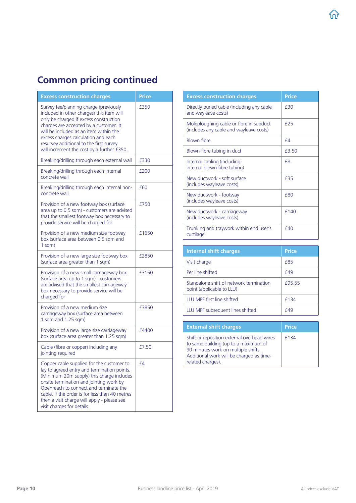# Common pricing continued

| <b>Excess construction charges</b>                                                                                                                                                                                                                                                                                                                        | <b>Price</b> |
|-----------------------------------------------------------------------------------------------------------------------------------------------------------------------------------------------------------------------------------------------------------------------------------------------------------------------------------------------------------|--------------|
| Survey fee/planning charge (previously<br>included in other charges) this item will<br>only be charged if excess construction<br>charges are accepted by a customer. It<br>will be included as an item within the<br>excess charges calculation and each<br>resurvey additional to the first survey<br>will increment the cost by a further £350.         | £350         |
| Breaking/drilling through each external wall                                                                                                                                                                                                                                                                                                              | £330         |
| Breaking/drilling through each internal<br>concrete wall                                                                                                                                                                                                                                                                                                  | £200         |
| Breaking/drilling through each internal non-<br>concrete wall                                                                                                                                                                                                                                                                                             | £60          |
| Provision of a new footway box (surface<br>area up to 0.5 sqm) - customers are advised<br>that the smallest footway box necessary to<br>provide service will be charged for                                                                                                                                                                               | £750         |
| Provision of a new medium size footway<br>box (surface area between 0.5 sqm and<br>$1$ sqm $)$                                                                                                                                                                                                                                                            | £1650        |
| Provision of a new large size footway box<br>(surface area greater than 1 sqm)                                                                                                                                                                                                                                                                            | £2850        |
| Provision of a new small carriageway box<br>(surface area up to 1 sqm) - customers<br>are advised that the smallest carriageway<br>box necessary to provide service will be<br>charged for                                                                                                                                                                | £3150        |
| Provision of a new medium size<br>carriageway box (surface area between<br>1 sqm and 1.25 sqm)                                                                                                                                                                                                                                                            | £3850        |
| Provision of a new large size carriageway<br>box (surface area greater than 1.25 sqm)                                                                                                                                                                                                                                                                     | £4400        |
| Cable (fibre or copper) including any<br>jointing required                                                                                                                                                                                                                                                                                                | £7.50        |
| Copper cable supplied for the customer to<br>lay to agreed entry and termination points.<br>(Minimum 20m supply) this charge includes<br>onsite termination and jointing work by<br>Openreach to connect and terminate the<br>cable. If the order is for less than 40 metres<br>then a visit charge will apply - please see<br>visit charges for details. | £4           |

| <b>Excess construction charges</b>                                                 | <b>Price</b> |
|------------------------------------------------------------------------------------|--------------|
| Directly buried cable (including any cable<br>and wayleave costs)                  | f30          |
| Moleploughing cable or fibre in subduct<br>(includes any cable and wayleave costs) | f25          |
| Blown fibre                                                                        | $f_4$        |
| Blown fibre tubing in duct                                                         | £3.50        |
| Internal cabling (including<br>internal blown fibre tubing)                        | f8           |
| New ductwork - soft surface<br>(includes wayleave costs)                           | f35          |
| New ductwork - footway<br>(includes wayleave costs)                                | f80          |
| New ductwork - carriageway<br>(includes wayleave costs)                            | f140         |
| Trunking and traywork within end user's<br>curtilage                               | f40          |

| Internal shift charges                                               | <b>Price</b> |
|----------------------------------------------------------------------|--------------|
| Visit charge                                                         | <b>f85</b>   |
| Per line shifted                                                     | f49          |
| Standalone shift of network termination<br>point (applicable to LLU) | f95 55       |
| <b>IIU MPF first line shifted</b>                                    | f134         |
| LLU MPF subsequent lines shifted                                     | f49          |
|                                                                      |              |

| <b>External shift charges</b>                                                                                                                                                               | <b>Price</b> |
|---------------------------------------------------------------------------------------------------------------------------------------------------------------------------------------------|--------------|
| Shift or reposition external overhead wires<br>to same building (up to a maximum of<br>90 minutes work on multiple shifts.<br>Additional work will be charged as time-<br>related charges). | f134         |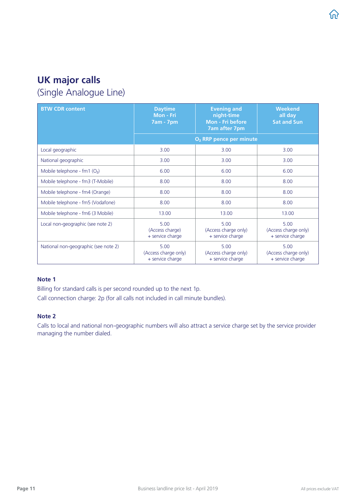# <span id="page-10-0"></span>UK major calls

(Single Analogue Line)

| <b>BTW CDR content</b>                     | <b>Daytime</b><br>Mon - Fri<br><b>7am - 7pm</b>  | <b>Evening and</b><br>night-time<br>Mon - Fri before<br><b>7am after 7pm</b> | <b>Weekend</b><br>all day<br><b>Sat and Sun</b>  |  |
|--------------------------------------------|--------------------------------------------------|------------------------------------------------------------------------------|--------------------------------------------------|--|
|                                            | O <sub>2</sub> RRP pence per minute              |                                                                              |                                                  |  |
| Local geographic                           | 3.00                                             | 3.00                                                                         | 3.00                                             |  |
| National geographic                        | 3.00                                             | 3.00                                                                         | 3.00                                             |  |
| Mobile telephone - $fm1$ (O <sub>2</sub> ) | 6.00                                             | 6.00                                                                         | 6.00                                             |  |
| Mobile telephone - fm3 (T-Mobile)          | 8.00                                             | 8.00                                                                         | 8.00                                             |  |
| Mobile telephone - fm4 (Orange)            | 8.00                                             | 8.00                                                                         | 8.00                                             |  |
| Mobile telephone - fm5 (Vodafone)          | 8.00                                             | 8.00                                                                         | 8.00                                             |  |
| Mobile telephone - fm6 (3 Mobile)          | 13.00                                            | 13.00                                                                        | 13.00                                            |  |
| Local non-geographic (see note 2)          | 5.00<br>(Access charge)<br>+ service charge      | 5.00<br>(Access charge only)<br>+ service charge                             | 5.00<br>(Access charge only)<br>+ service charge |  |
| National non-geographic (see note 2)       | 5.00<br>(Access charge only)<br>+ service charge | 5.00<br>(Access charge only)<br>+ service charge                             | 5.00<br>(Access charge only)<br>+ service charge |  |

### Note 1

Billing for standard calls is per second rounded up to the next 1p.

Call connection charge: 2p (for all calls not included in call minute bundles).

#### Note 2

Calls to local and national non-geographic numbers will also attract a service charge set by the service provider managing the number dialed.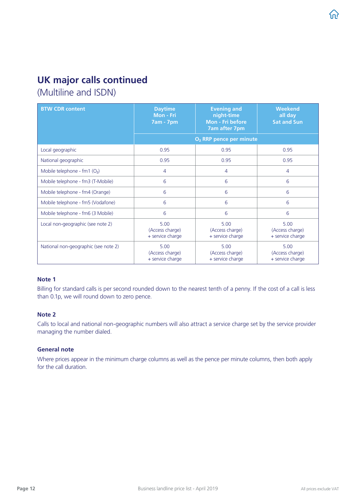### UK major calls continued

(Multiline and ISDN)

| <b>BTW CDR content</b>                     | <b>Daytime</b><br>Mon - Fri<br><b>7am - 7pm</b> | <b>Evening and</b><br>night-time<br>Mon - Fri before<br><b>7am after 7pm</b>               | <b>Weekend</b><br>all day<br><b>Sat and Sun</b> |  |
|--------------------------------------------|-------------------------------------------------|--------------------------------------------------------------------------------------------|-------------------------------------------------|--|
|                                            | O <sub>2</sub> RRP pence per minute             |                                                                                            |                                                 |  |
| Local geographic                           | 0.95                                            | 0.95                                                                                       | 0.95                                            |  |
| National geographic                        | 0.95                                            | 0.95                                                                                       | 0.95                                            |  |
| Mobile telephone - $fm1$ (O <sub>2</sub> ) | 4                                               | 4                                                                                          | 4                                               |  |
| Mobile telephone - fm3 (T-Mobile)          | 6                                               | 6                                                                                          | 6                                               |  |
| Mobile telephone - fm4 (Orange)            | 6                                               | 6                                                                                          | 6                                               |  |
| Mobile telephone - fm5 (Vodafone)          | 6                                               | 6                                                                                          | 6                                               |  |
| Mobile telephone - fm6 (3 Mobile)          | 6                                               | 6                                                                                          | 6                                               |  |
| Local non-geographic (see note 2)          | 5.00<br>(Access charge)<br>+ service charge     | 5.00<br>5.00<br>(Access charge)<br>(Access charge)<br>+ service charge<br>+ service charge |                                                 |  |
| National non-geographic (see note 2)       | 5.00<br>(Access charge)<br>+ service charge     | 5.00<br>(Access charge)<br>+ service charge                                                | 5.00<br>(Access charge)<br>+ service charge     |  |

#### Note 1

Billing for standard calls is per second rounded down to the nearest tenth of a penny. If the cost of a call is less than 0.1p, we will round down to zero pence.

#### Note 2

Calls to local and national non-geographic numbers will also attract a service charge set by the service provider managing the number dialed.

#### General note

Where prices appear in the minimum charge columns as well as the pence per minute columns, then both apply for the call duration.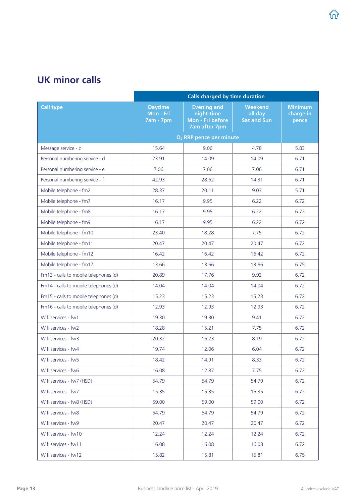### <span id="page-12-0"></span>UK minor calls

|                                       | <b>Calls charged by time duration</b>           |                                                                       |                                                 |                                      |
|---------------------------------------|-------------------------------------------------|-----------------------------------------------------------------------|-------------------------------------------------|--------------------------------------|
| <b>Call type</b>                      | <b>Daytime</b><br>Mon - Fri<br><b>7am - 7pm</b> | <b>Evening and</b><br>night-time<br>Mon - Fri before<br>7am after 7pm | <b>Weekend</b><br>all day<br><b>Sat and Sun</b> | <b>Minimum</b><br>charge in<br>pence |
|                                       |                                                 | O <sub>2</sub> RRP pence per minute                                   |                                                 |                                      |
| Message service - c                   | 15.64                                           | 9.06                                                                  | 4.78                                            | 5.83                                 |
| Personal numbering service - d        | 23.91                                           | 14.09                                                                 | 14.09                                           | 6.71                                 |
| Personal numbering service - e        | 7.06                                            | 7.06                                                                  | 7.06                                            | 6.71                                 |
| Personal numbering service - f        | 42.93                                           | 28.62                                                                 | 14.31                                           | 6.71                                 |
| Mobile telephone - fm2                | 28.37                                           | 20.11                                                                 | 9.03                                            | 5.71                                 |
| Mobile telephone - fm7                | 16.17                                           | 9.95                                                                  | 6.22                                            | 6.72                                 |
| Mobile telephone - fm8                | 16.17                                           | 9.95                                                                  | 6.22                                            | 6.72                                 |
| Mobile telephone - fm9                | 16.17                                           | 9.95                                                                  | 6.22                                            | 6.72                                 |
| Mobile telephone - fm10               | 23.40                                           | 18.28                                                                 | 7.75                                            | 6.72                                 |
| Mobile telephone - fm11               | 20.47                                           | 20.47                                                                 | 20.47                                           | 6.72                                 |
| Mobile telephone - fm12               | 16.42                                           | 16.42                                                                 | 16.42                                           | 6.72                                 |
| Mobile telephone - fm17               | 13.66                                           | 13.66                                                                 | 13.66                                           | 6.75                                 |
| Fm13 - calls to mobile telephones (d) | 20.89                                           | 17.76                                                                 | 9.92                                            | 6.72                                 |
| Fm14 - calls to mobile telephones (d) | 14.04                                           | 14.04                                                                 | 14.04                                           | 6.72                                 |
| Fm15 - calls to mobile telephones (d) | 15.23                                           | 15.23                                                                 | 15.23                                           | 6.72                                 |
| Fm16 - calls to mobile telephones (d) | 12.93                                           | 12.93                                                                 | 12.93                                           | 6.72                                 |
| Wifi services - fw1                   | 19.30                                           | 19.30                                                                 | 9.41                                            | 6.72                                 |
| Wifi services - fw2                   | 18.28                                           | 15.21                                                                 | 7.75                                            | 6.72                                 |
| Wifi services - fw3                   | 20.32                                           | 16.23                                                                 | 8.19                                            | 6.72                                 |
| Wifi services - fw4                   | 19.74                                           | 12.06                                                                 | 6.04                                            | 6.72                                 |
| Wifi services - fw5                   | 18.42                                           | 14.91                                                                 | 8.33                                            | 6.72                                 |
| Wifi services - fw6                   | 16.08                                           | 12.87                                                                 | 7.75                                            | 6.72                                 |
| Wifi services - fw7 (HSD)             | 54.79                                           | 54.79                                                                 | 54.79                                           | 6.72                                 |
| Wifi services - fw7                   | 15.35                                           | 15.35                                                                 | 15.35                                           | 6.72                                 |
| Wifi services - fw8 (HSD)             | 59.00                                           | 59.00                                                                 | 59.00                                           | 6.72                                 |
| Wifi services - fw8                   | 54.79                                           | 54.79                                                                 | 54.79                                           | 6.72                                 |
| Wifi services - fw9                   | 20.47                                           | 20.47                                                                 | 20.47                                           | 6.72                                 |
| Wifi services - fw10                  | 12.24                                           | 12.24                                                                 | 12.24                                           | 6.72                                 |
| Wifi services - fw11                  | 16.08                                           | 16.08                                                                 | 16.08                                           | 6.72                                 |
| Wifi services - fw12                  | 15.82                                           | 15.81                                                                 | 15.81                                           | 6.75                                 |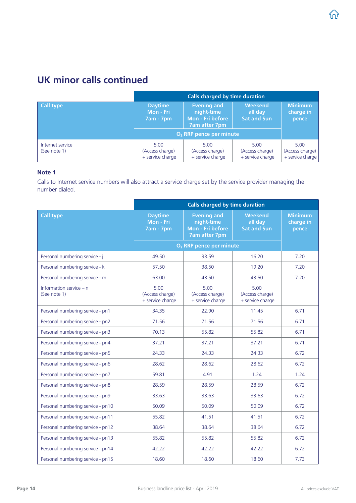### UK minor calls continued

|                                  | Calls charged by time duration                  |                                                                       |                                                 |                                             |
|----------------------------------|-------------------------------------------------|-----------------------------------------------------------------------|-------------------------------------------------|---------------------------------------------|
| Call type                        | <b>Daytime</b><br>Mon - Fri<br><b>7am - 7pm</b> | <b>Evening and</b><br>night-time<br>Mon - Fri before<br>7am after 7pm | <b>Weekend</b><br>all day<br><b>Sat and Sun</b> | <b>Minimum</b><br>charge in<br>pence        |
|                                  | O <sub>2</sub> RRP pence per minute             |                                                                       |                                                 |                                             |
| Internet service<br>(See note 1) | 5.00<br>(Access charge)<br>+ service charge     | 5.00<br>(Access charge)<br>+ service charge                           | 5.00<br>(Access charge)<br>+ service charge     | 5.00<br>(Access charge)<br>+ service charge |

### Note 1

Calls to Internet service numbers will also attract a service charge set by the service provider managing the number dialed.

|                                           | <b>Calls charged by time duration</b>           |                                                                              |                                                 |                                      |  |
|-------------------------------------------|-------------------------------------------------|------------------------------------------------------------------------------|-------------------------------------------------|--------------------------------------|--|
| <b>Call type</b>                          | <b>Daytime</b><br>Mon - Fri<br><b>7am - 7pm</b> | <b>Evening and</b><br>night-time<br>Mon - Fri before<br><b>7am after 7pm</b> | <b>Weekend</b><br>all day<br><b>Sat and Sun</b> | <b>Minimum</b><br>charge in<br>pence |  |
|                                           |                                                 | O <sub>2</sub> RRP pence per minute                                          |                                                 |                                      |  |
| Personal numbering service - j            | 49.50                                           | 33.59                                                                        | 16.20                                           | 7.20                                 |  |
| Personal numbering service - k            | 57.50                                           | 38.50                                                                        | 19.20                                           | 7.20                                 |  |
| Personal numbering service - m            | 63.00                                           | 43.50                                                                        | 43.50                                           | 7.20                                 |  |
| Information service $-$ n<br>(See note 1) | 5.00<br>(Access charge)<br>+ service charge     | 5.00<br>(Access charge)<br>+ service charge                                  | 5.00<br>(Access charge)<br>+ service charge     |                                      |  |
| Personal numbering service - pn1          | 34.35                                           | 22.90                                                                        | 11.45                                           | 6.71                                 |  |
| Personal numbering service - pn2          | 71.56                                           | 71.56                                                                        | 71.56                                           | 6.71                                 |  |
| Personal numbering service - pn3          | 70.13                                           | 55.82                                                                        | 55.82                                           | 6.71                                 |  |
| Personal numbering service - pn4          | 37.21                                           | 37.21                                                                        | 37.21                                           | 6.71                                 |  |
| Personal numbering service - pn5          | 24.33                                           | 24.33                                                                        | 24.33                                           | 6.72                                 |  |
| Personal numbering service - pn6          | 28.62                                           | 28.62                                                                        | 28.62                                           | 6.72                                 |  |
| Personal numbering service - pn7          | 59.81                                           | 4.91                                                                         | 1.24                                            | 1.24                                 |  |
| Personal numbering service - pn8          | 28.59                                           | 28.59                                                                        | 28.59                                           | 6.72                                 |  |
| Personal numbering service - pn9          | 33.63                                           | 33.63                                                                        | 33.63                                           | 6.72                                 |  |
| Personal numbering service - pn10         | 50.09                                           | 50.09                                                                        | 50.09                                           | 6.72                                 |  |
| Personal numbering service - pn11         | 55.82                                           | 41.51                                                                        | 41.51                                           | 6.72                                 |  |
| Personal numbering service - pn12         | 38.64                                           | 38.64                                                                        | 38.64                                           | 6.72                                 |  |
| Personal numbering service - pn13         | 55.82                                           | 55.82                                                                        | 55.82                                           | 6.72                                 |  |
| Personal numbering service - pn14         | 42.22                                           | 42.22                                                                        | 42.22                                           | 6.72                                 |  |
| Personal numbering service - pn15         | 18.60                                           | 18.60                                                                        | 18.60                                           | 7.73                                 |  |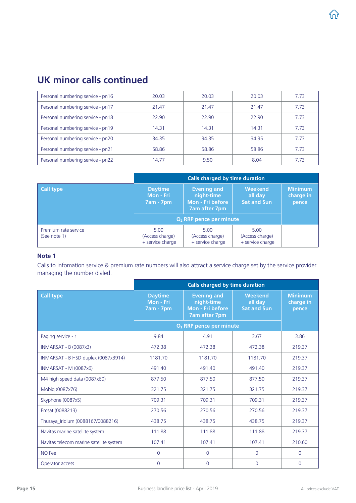### UK minor calls continued

| Personal numbering service - pn16 | 20.03 | 20.03 | 20.03 | 7.73 |
|-----------------------------------|-------|-------|-------|------|
| Personal numbering service - pn17 | 21.47 | 21.47 | 21.47 | 7.73 |
| Personal numbering service - pn18 | 22.90 | 22.90 | 22.90 | 7.73 |
| Personal numbering service - pn19 | 14.31 | 14.31 | 14.31 | 7.73 |
| Personal numbering service - pn20 | 34.35 | 34.35 | 34.35 | 7.73 |
| Personal numbering service - pn21 | 58.86 | 58.86 | 58.86 | 7.73 |
| Personal numbering service - pn22 | 14.77 | 9.50  | 8.04  | 7.73 |

|                                      | <b>Calls charged by time duration</b>           |                                                                                     |                                             |                                      |  |
|--------------------------------------|-------------------------------------------------|-------------------------------------------------------------------------------------|---------------------------------------------|--------------------------------------|--|
| <b>Call type</b>                     | <b>Daytime</b><br>Mon - Fri<br><b>7am - 7pm</b> | <b>Evening and</b><br>night-time<br><b>Mon - Fri before</b><br><b>7am after 7pm</b> |                                             | <b>Minimum</b><br>charge in<br>pence |  |
|                                      | $O2$ RRP pence per minute                       |                                                                                     |                                             |                                      |  |
| Premium rate service<br>(See note 1) | 5.00<br>(Access charge)<br>+ service charge     | 5.00<br>(Access charge)<br>+ service charge                                         | 5.00<br>(Access charge)<br>+ service charge |                                      |  |

#### Note 1

Calls to infomation service & premium rate numbers will also attract a service charge set by the service provider managing the number dialed.

|                                         | <b>Calls charged by time duration</b>           |                                                                              |                                                 |                                      |  |
|-----------------------------------------|-------------------------------------------------|------------------------------------------------------------------------------|-------------------------------------------------|--------------------------------------|--|
| <b>Call type</b>                        | <b>Daytime</b><br>Mon - Fri<br><b>7am - 7pm</b> | <b>Evening and</b><br>night-time<br>Mon - Fri before<br><b>7am after 7pm</b> | <b>Weekend</b><br>all day<br><b>Sat and Sun</b> | <b>Minimum</b><br>charge in<br>pence |  |
|                                         |                                                 | O <sub>2</sub> RRP pence per minute                                          |                                                 |                                      |  |
| Paging service - r                      | 9.84                                            | 4.91                                                                         | 3.67                                            | 3.86                                 |  |
| <b>INMARSAT - B (0087x3)</b>            | 472.38                                          | 472.38                                                                       | 472.38                                          | 219.37                               |  |
| INMARSAT - B HSD duplex (0087x3914)     | 1181.70                                         | 1181.70                                                                      | 1181.70                                         | 219.37                               |  |
| INMARSAT - M (0087x6)                   | 491.40                                          | 491.40                                                                       | 491.40                                          | 219.37                               |  |
| M4 high speed data (0087x60)            | 877.50                                          | 877.50                                                                       | 877.50                                          | 219.37                               |  |
| Mobiq (0087x76)                         | 321.75                                          | 321.75                                                                       | 321.75                                          | 219.37                               |  |
| Skyphone (0087x5)                       | 709.31                                          | 709.31                                                                       | 709.31                                          | 219.37                               |  |
| Emsat (0088213)                         | 270.56                                          | 270.56                                                                       | 270.56                                          | 219.37                               |  |
| Thuraya Iridium (0088167/0088216)       | 438.75                                          | 438.75                                                                       | 438.75                                          | 219.37                               |  |
| Navitas marine satellite system         | 111.88                                          | 111.88                                                                       | 111.88                                          | 219.37                               |  |
| Navitas telecom marine satellite system | 107.41                                          | 107.41                                                                       | 107.41                                          | 210.60                               |  |
| NO Fee                                  | $\overline{0}$                                  | $\overline{0}$                                                               | $\Omega$                                        | $\Omega$                             |  |
| Operator access                         | $\overline{0}$                                  | $\overline{0}$                                                               | $\overline{0}$                                  | 0                                    |  |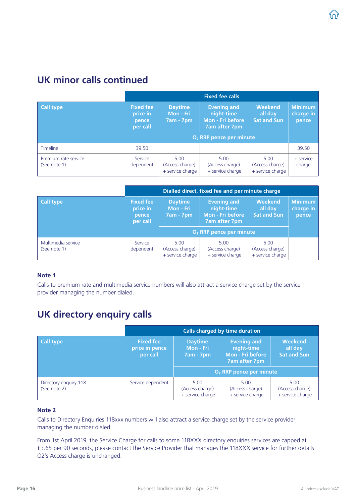### <span id="page-15-0"></span>UK minor calls continued

|                                      | <b>Fixed fee calls</b>                            |                                             |                                                                              |                                                 |                                      |  |
|--------------------------------------|---------------------------------------------------|---------------------------------------------|------------------------------------------------------------------------------|-------------------------------------------------|--------------------------------------|--|
| <b>Call type</b>                     | <b>Fixed fee</b><br>price in<br>pence<br>per call | <b>Daytime</b><br>Mon - Fri<br>$7am - 7pm$  | <b>Evening and</b><br>night-time<br><b>Mon - Fri before</b><br>7am after 7pm | <b>Weekend</b><br>all day<br><b>Sat and Sun</b> | <b>Minimum</b><br>charge in<br>pence |  |
|                                      |                                                   | O <sub>2</sub> RRP pence per minute         |                                                                              |                                                 |                                      |  |
| <b>Timeline</b>                      | 39.50                                             |                                             |                                                                              |                                                 | 39.50                                |  |
| Premium rate service<br>(See note 1) | Service<br>dependent                              | 5.00<br>(Access charge)<br>+ service charge | 5.00<br>(Access charge)<br>+ service charge                                  | 5.00<br>(Access charge)<br>+ service charge     | + service<br>charge                  |  |

|                                    | Dialled direct, fixed fee and per minute charge   |                                                 |                                                                              |                                             |                                      |  |
|------------------------------------|---------------------------------------------------|-------------------------------------------------|------------------------------------------------------------------------------|---------------------------------------------|--------------------------------------|--|
| Call type                          | <b>Fixed fee</b><br>price in<br>pence<br>per call | <b>Daytime</b><br>Mon - Fri<br><b>7am - 7pm</b> | <b>Evening and</b><br>night-time<br><b>Mon - Fri before</b><br>7am after 7pm | Weekend<br>all day<br><b>Sat and Sun</b>    | <b>Minimum</b><br>charge in<br>pence |  |
|                                    |                                                   |                                                 | O <sub>2</sub> RRP pence per minute                                          |                                             |                                      |  |
| Multimedia service<br>(See note 1) | Service<br>dependent                              | 5.00<br>(Access charge)<br>+ service charge     | 5.00<br>(Access charge)<br>+ service charge                                  | 5.00<br>(Access charge)<br>+ service charge |                                      |  |

#### Note 1

Calls to premium rate and multimedia service numbers will also attract a service charge set by the service provider managing the number dialed.

### UK directory enquiry calls

|                                       | <b>Calls charged by time duration</b>          |                                                 |                                                                              |                                                 |  |
|---------------------------------------|------------------------------------------------|-------------------------------------------------|------------------------------------------------------------------------------|-------------------------------------------------|--|
| Call type                             | <b>Fixed fee</b><br>price in pence<br>per call | <b>Daytime</b><br>Mon - Fri<br><b>7am - 7pm</b> | <b>Evening and</b><br>night-time<br><b>Mon - Fri before</b><br>7am after 7pm | <b>Weekend</b><br>all day<br><b>Sat and Sun</b> |  |
|                                       |                                                | O <sub>2</sub> RRP pence per minute             |                                                                              |                                                 |  |
| Directory enquiry 118<br>(See note 2) | Service dependent                              | 5.00<br>(Access charge)<br>+ service charge     | 5.00<br>(Access charge)<br>+ service charge                                  | 5.00<br>(Access charge)<br>+ service charge     |  |

### Note 2

Calls to Directory Enquiries 118xxx numbers will also attract a service charge set by the service provider managing the number dialed.

From 1st April 2019, the Service Charge for calls to some 118XXX directory enquiries services are capped at £3.65 per 90 seconds, please contact the Service Provider that manages the 118XXX service for further details. O2's Access charge is unchanged.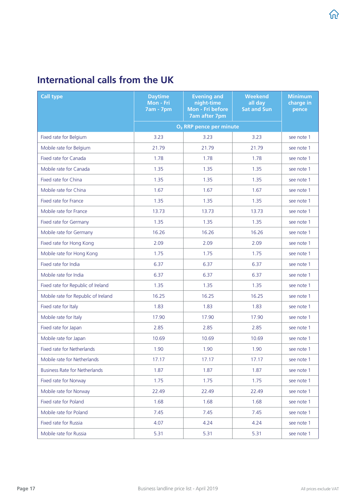# <span id="page-16-0"></span>International calls from the UK

| <b>Call type</b>                     | <b>Daytime</b><br>Mon - Fri<br><b>7am - 7pm</b> | <b>Evening and</b><br>night-time<br>Mon - Fri before<br><b>7am after 7pm</b> | <b>Weekend</b><br>all day<br><b>Sat and Sun</b> | <b>Minimum</b><br>charge in<br>pence |
|--------------------------------------|-------------------------------------------------|------------------------------------------------------------------------------|-------------------------------------------------|--------------------------------------|
|                                      |                                                 | O <sub>2</sub> RRP pence per minute                                          |                                                 |                                      |
| Fixed rate for Belgium               | 3.23                                            | 3.23                                                                         | 3.23                                            | see note 1                           |
| Mobile rate for Belgium              | 21.79                                           | 21.79                                                                        | 21.79                                           | see note 1                           |
| Fixed rate for Canada                | 1.78                                            | 1.78                                                                         | 1.78                                            | see note 1                           |
| Mobile rate for Canada               | 1.35                                            | 1.35                                                                         | 1.35                                            | see note 1                           |
| Fixed rate for China                 | 1.35                                            | 1.35                                                                         | 1.35                                            | see note 1                           |
| Mobile rate for China                | 1.67                                            | 1.67                                                                         | 1.67                                            | see note 1                           |
| Fixed rate for France                | 1.35                                            | 1.35                                                                         | 1.35                                            | see note 1                           |
| Mobile rate for France               | 13.73                                           | 13.73                                                                        | 13.73                                           | see note 1                           |
| Fixed rate for Germany               | 1.35                                            | 1.35                                                                         | 1.35                                            | see note 1                           |
| Mobile rate for Germany              | 16.26                                           | 16.26                                                                        | 16.26                                           | see note 1                           |
| Fixed rate for Hong Kong             | 2.09                                            | 2.09                                                                         | 2.09                                            | see note 1                           |
| Mobile rate for Hong Kong            | 1.75                                            | 1.75                                                                         | 1.75                                            | see note 1                           |
| Fixed rate for India                 | 6.37                                            | 6.37                                                                         | 6.37                                            | see note 1                           |
| Mobile rate for India                | 6.37                                            | 6.37                                                                         | 6.37                                            | see note 1                           |
| Fixed rate for Republic of Ireland   | 1.35                                            | 1.35                                                                         | 1.35                                            | see note 1                           |
| Mobile rate for Republic of Ireland  | 16.25                                           | 16.25                                                                        | 16.25                                           | see note 1                           |
| Fixed rate for Italy                 | 1.83                                            | 1.83                                                                         | 1.83                                            | see note 1                           |
| Mobile rate for Italy                | 17.90                                           | 17.90                                                                        | 17.90                                           | see note 1                           |
| Fixed rate for Japan                 | 2.85                                            | 2.85                                                                         | 2.85                                            | see note 1                           |
| Mobile rate for Japan                | 10.69                                           | 10.69                                                                        | 10.69                                           | see note 1                           |
| Fixed rate for Netherlands           | 1.90                                            | 1.90                                                                         | 1.90                                            | see note 1                           |
| Mobile rate for Netherlands          | 17.17                                           | 17.17                                                                        | 17.17                                           | see note 1                           |
| <b>Business Rate for Netherlands</b> | 1.87                                            | 1.87                                                                         | 1.87                                            | see note 1                           |
| Fixed rate for Norway                | 1.75                                            | 1.75                                                                         | 1.75                                            | see note 1                           |
| Mobile rate for Norway               | 22.49                                           | 22.49                                                                        | 22.49                                           | see note 1                           |
| Fixed rate for Poland                | 1.68                                            | 1.68                                                                         | 1.68                                            | see note 1                           |
| Mobile rate for Poland               | 7.45                                            | 7.45                                                                         | 7.45                                            | see note 1                           |
| Fixed rate for Russia                | 4.07                                            | 4.24                                                                         | 4.24                                            | see note 1                           |
| Mobile rate for Russia               | 5.31                                            | 5.31                                                                         | 5.31                                            | see note 1                           |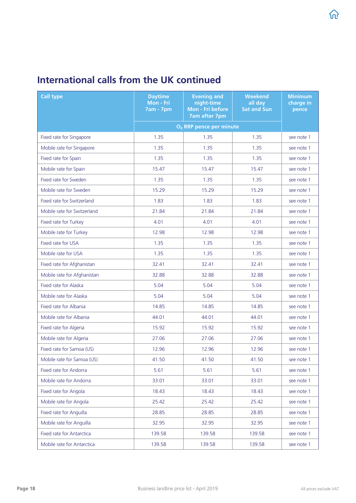| <b>Call type</b>            | <b>Daytime</b><br>Mon - Fri<br><b>7am - 7pm</b> | <b>Evening and</b><br>night-time<br>Mon - Fri before<br><b>7am after 7pm</b> | <b>Weekend</b><br>all day<br><b>Sat and Sun</b> | <b>Minimum</b><br>charge in<br>pence |
|-----------------------------|-------------------------------------------------|------------------------------------------------------------------------------|-------------------------------------------------|--------------------------------------|
|                             |                                                 | O <sub>2</sub> RRP pence per minute                                          |                                                 |                                      |
| Fixed rate for Singapore    | 1.35                                            | 1.35                                                                         | 1.35                                            | see note 1                           |
| Mobile rate for Singapore   | 1.35                                            | 1.35                                                                         | 1.35                                            | see note 1                           |
| Fixed rate for Spain        | 1.35                                            | 1.35                                                                         | 1.35                                            | see note 1                           |
| Mobile rate for Spain       | 15.47                                           | 15.47                                                                        | 15.47                                           | see note 1                           |
| Fixed rate for Sweden       | 1.35                                            | 1.35                                                                         | 1.35                                            | see note 1                           |
| Mobile rate for Sweden      | 15.29                                           | 15.29                                                                        | 15.29                                           | see note 1                           |
| Fixed rate for Switzerland  | 1.83                                            | 1.83                                                                         | 1.83                                            | see note 1                           |
| Mobile rate for Switzerland | 21.84                                           | 21.84                                                                        | 21.84                                           | see note 1                           |
| Fixed rate for Turkey       | 4.01                                            | 4.01                                                                         | 4.01                                            | see note 1                           |
| Mobile rate for Turkey      | 12.98                                           | 12.98                                                                        | 12.98                                           | see note 1                           |
| Fixed rate for USA          | 1.35                                            | 1.35                                                                         | 1.35                                            | see note 1                           |
| Mobile rate for USA         | 1.35                                            | 1.35                                                                         | 1.35                                            | see note 1                           |
| Fixed rate for Afghanistan  | 32.41                                           | 32.41                                                                        | 32.41                                           | see note 1                           |
| Mobile rate for Afghanistan | 32.88                                           | 32.88                                                                        | 32.88                                           | see note 1                           |
| Fixed rate for Alaska       | 5.04                                            | 5.04                                                                         | 5.04                                            | see note 1                           |
| Mobile rate for Alaska      | 5.04                                            | 5.04                                                                         | 5.04                                            | see note 1                           |
| Fixed rate for Albania      | 14.85                                           | 14.85                                                                        | 14.85                                           | see note 1                           |
| Mobile rate for Albania     | 44.01                                           | 44.01                                                                        | 44.01                                           | see note 1                           |
| Fixed rate for Algeria      | 15.92                                           | 15.92                                                                        | 15.92                                           | see note 1                           |
| Mobile rate for Algeria     | 27.06                                           | 27.06                                                                        | 27.06                                           | see note 1                           |
| Fixed rate for Samoa (US)   | 12.96                                           | 12.96                                                                        | 12.96                                           | see note 1                           |
| Mobile rate for Samoa (US)  | 41.50                                           | 41.50                                                                        | 41.50                                           | see note 1                           |
| Fixed rate for Andorra      | 5.61                                            | 5.61                                                                         | 5.61                                            | see note 1                           |
| Mobile rate for Andorra     | 33.01                                           | 33.01                                                                        | 33.01                                           | see note 1                           |
| Fixed rate for Angola       | 18.43                                           | 18.43                                                                        | 18.43                                           | see note 1                           |
| Mobile rate for Angola      | 25.42                                           | 25.42                                                                        | 25.42                                           | see note 1                           |
| Fixed rate for Anguilla     | 28.85                                           | 28.85                                                                        | 28.85                                           | see note 1                           |
| Mobile rate for Anguilla    | 32.95                                           | 32.95                                                                        | 32.95                                           | see note 1                           |
| Fixed rate for Antarctica   | 139.58                                          | 139.58                                                                       | 139.58                                          | see note 1                           |
| Mobile rate for Antarctica  | 139.58                                          | 139.58                                                                       | 139.58                                          | see note 1                           |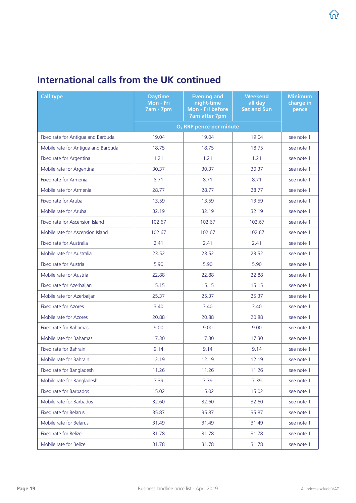| <b>Call type</b>                    | <b>Daytime</b><br>Mon - Fri<br><b>7am - 7pm</b> | <b>Evening and</b><br>night-time<br>Mon - Fri before<br><b>7am after 7pm</b> | <b>Weekend</b><br>all day<br><b>Sat and Sun</b> | <b>Minimum</b><br>charge in<br>pence |
|-------------------------------------|-------------------------------------------------|------------------------------------------------------------------------------|-------------------------------------------------|--------------------------------------|
|                                     |                                                 | O <sub>2</sub> RRP pence per minute                                          |                                                 |                                      |
| Fixed rate for Antigua and Barbuda  | 19.04                                           | 19.04                                                                        | 19.04                                           | see note 1                           |
| Mobile rate for Antigua and Barbuda | 18.75                                           | 18.75                                                                        | 18.75                                           | see note 1                           |
| Fixed rate for Argentina            | 1.21                                            | 1.21                                                                         | 1.21                                            | see note 1                           |
| Mobile rate for Argentina           | 30.37                                           | 30.37                                                                        | 30.37                                           | see note 1                           |
| Fixed rate for Armenia              | 8.71                                            | 8.71                                                                         | 8.71                                            | see note 1                           |
| Mobile rate for Armenia             | 28.77                                           | 28.77                                                                        | 28.77                                           | see note 1                           |
| Fixed rate for Aruba                | 13.59                                           | 13.59                                                                        | 13.59                                           | see note 1                           |
| Mobile rate for Aruba               | 32.19                                           | 32.19                                                                        | 32.19                                           | see note 1                           |
| Fixed rate for Ascension Island     | 102.67                                          | 102.67                                                                       | 102.67                                          | see note 1                           |
| Mobile rate for Ascension Island    | 102.67                                          | 102.67                                                                       | 102.67                                          | see note 1                           |
| Fixed rate for Australia            | 2.41                                            | 2.41                                                                         | 2.41                                            | see note 1                           |
| Mobile rate for Australia           | 23.52                                           | 23.52                                                                        | 23.52                                           | see note 1                           |
| Fixed rate for Austria              | 5.90                                            | 5.90                                                                         | 5.90                                            | see note 1                           |
| Mobile rate for Austria             | 22.88                                           | 22.88                                                                        | 22.88                                           | see note 1                           |
| Fixed rate for Azerbaijan           | 15.15                                           | 15.15                                                                        | 15.15                                           | see note 1                           |
| Mobile rate for Azerbaijan          | 25.37                                           | 25.37                                                                        | 25.37                                           | see note 1                           |
| <b>Fixed rate for Azores</b>        | 3.40                                            | 3.40                                                                         | 3.40                                            | see note 1                           |
| Mobile rate for Azores              | 20.88                                           | 20.88                                                                        | 20.88                                           | see note 1                           |
| Fixed rate for Bahamas              | 9.00                                            | 9.00                                                                         | 9.00                                            | see note 1                           |
| Mobile rate for Bahamas             | 17.30                                           | 17.30                                                                        | 17.30                                           | see note 1                           |
| Fixed rate for Bahrain              | 9.14                                            | 9.14                                                                         | 9.14                                            | see note 1                           |
| Mobile rate for Bahrain             | 12.19                                           | 12.19                                                                        | 12.19                                           | see note 1                           |
| Fixed rate for Bangladesh           | 11.26                                           | 11.26                                                                        | 11.26                                           | see note 1                           |
| Mobile rate for Bangladesh          | 7.39                                            | 7.39                                                                         | 7.39                                            | see note 1                           |
| Fixed rate for Barbados             | 15.02                                           | 15.02                                                                        | 15.02                                           | see note 1                           |
| Mobile rate for Barbados            | 32.60                                           | 32.60                                                                        | 32.60                                           | see note 1                           |
| Fixed rate for Belarus              | 35.87                                           | 35.87                                                                        | 35.87                                           | see note 1                           |
| Mobile rate for Belarus             | 31.49                                           | 31.49                                                                        | 31.49                                           | see note 1                           |
| Fixed rate for Belize               | 31.78                                           | 31.78                                                                        | 31.78                                           | see note 1                           |
| Mobile rate for Belize              | 31.78                                           | 31.78                                                                        | 31.78                                           | see note 1                           |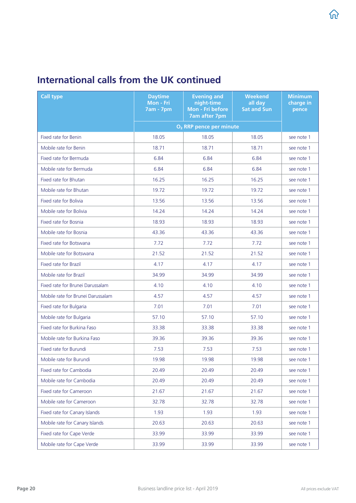| <b>Call type</b>                  | <b>Daytime</b><br>Mon - Fri<br><b>7am - 7pm</b> | <b>Evening and</b><br>night-time<br>Mon - Fri before<br><b>7am after 7pm</b> | <b>Weekend</b><br>all day<br><b>Sat and Sun</b> | <b>Minimum</b><br>charge in<br>pence |
|-----------------------------------|-------------------------------------------------|------------------------------------------------------------------------------|-------------------------------------------------|--------------------------------------|
|                                   |                                                 | O <sub>2</sub> RRP pence per minute                                          |                                                 |                                      |
| <b>Fixed rate for Benin</b>       | 18.05                                           | 18.05                                                                        | 18.05                                           | see note 1                           |
| Mobile rate for Benin             | 18.71                                           | 18.71                                                                        | 18.71                                           | see note 1                           |
| Fixed rate for Bermuda            | 6.84                                            | 6.84                                                                         | 6.84                                            | see note 1                           |
| Mobile rate for Bermuda           | 6.84                                            | 6.84                                                                         | 6.84                                            | see note 1                           |
| Fixed rate for Bhutan             | 16.25                                           | 16.25                                                                        | 16.25                                           | see note 1                           |
| Mobile rate for Bhutan            | 19.72                                           | 19.72                                                                        | 19.72                                           | see note 1                           |
| Fixed rate for Bolivia            | 13.56                                           | 13.56                                                                        | 13.56                                           | see note 1                           |
| Mobile rate for Bolivia           | 14.24                                           | 14.24                                                                        | 14.24                                           | see note 1                           |
| Fixed rate for Bosnia             | 18.93                                           | 18.93                                                                        | 18.93                                           | see note 1                           |
| Mobile rate for Bosnia            | 43.36                                           | 43.36                                                                        | 43.36                                           | see note 1                           |
| Fixed rate for Botswana           | 7.72                                            | 7.72                                                                         | 7.72                                            | see note 1                           |
| Mobile rate for Botswana          | 21.52                                           | 21.52                                                                        | 21.52                                           | see note 1                           |
| <b>Fixed rate for Brazil</b>      | 4.17                                            | 4.17                                                                         | 4.17                                            | see note 1                           |
| Mobile rate for Brazil            | 34.99                                           | 34.99                                                                        | 34.99                                           | see note 1                           |
| Fixed rate for Brunei Darussalam  | 4.10                                            | 4.10                                                                         | 4.10                                            | see note 1                           |
| Mobile rate for Brunei Darussalam | 4.57                                            | 4.57                                                                         | 4.57                                            | see note 1                           |
| Fixed rate for Bulgaria           | 7.01                                            | 7.01                                                                         | 7.01                                            | see note 1                           |
| Mobile rate for Bulgaria          | 57.10                                           | 57.10                                                                        | 57.10                                           | see note 1                           |
| Fixed rate for Burkina Faso       | 33.38                                           | 33.38                                                                        | 33.38                                           | see note 1                           |
| Mobile rate for Burkina Faso      | 39.36                                           | 39.36                                                                        | 39.36                                           | see note 1                           |
| Fixed rate for Burundi            | 7.53                                            | 7.53                                                                         | 7.53                                            | see note 1                           |
| Mobile rate for Burundi           | 19.98                                           | 19.98                                                                        | 19.98                                           | see note 1                           |
| Fixed rate for Cambodia           | 20.49                                           | 20.49                                                                        | 20.49                                           | see note 1                           |
| Mobile rate for Cambodia          | 20.49                                           | 20.49                                                                        | 20.49                                           | see note 1                           |
| Fixed rate for Cameroon           | 21.67                                           | 21.67                                                                        | 21.67                                           | see note 1                           |
| Mobile rate for Cameroon          | 32.78                                           | 32.78                                                                        | 32.78                                           | see note 1                           |
| Fixed rate for Canary Islands     | 1.93                                            | 1.93                                                                         | 1.93                                            | see note 1                           |
| Mobile rate for Canary Islands    | 20.63                                           | 20.63                                                                        | 20.63                                           | see note 1                           |
| Fixed rate for Cape Verde         | 33.99                                           | 33.99                                                                        | 33.99                                           | see note 1                           |
| Mobile rate for Cape Verde        | 33.99                                           | 33.99                                                                        | 33.99                                           | see note 1                           |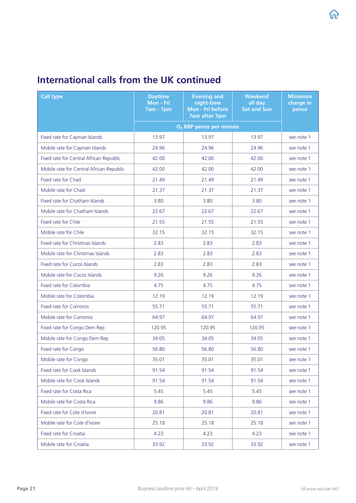| <b>Call type</b>                         | <b>Daytime</b><br>Mon - Fri<br><b>7am - 7pm</b> | <b>Evening and</b><br>night-time<br>Mon - Fri before<br><b>7am after 7pm</b> | <b>Weekend</b><br>all day<br><b>Sat and Sun</b> | <b>Minimum</b><br>charge in<br>pence |
|------------------------------------------|-------------------------------------------------|------------------------------------------------------------------------------|-------------------------------------------------|--------------------------------------|
|                                          |                                                 | O <sub>2</sub> RRP pence per minute                                          |                                                 |                                      |
| Fixed rate for Cayman Islands            | 13.97                                           | 13.97                                                                        | 13.97                                           | see note 1                           |
| Mobile rate for Cayman Islands           | 24.96                                           | 24.96                                                                        | 24.96                                           | see note 1                           |
| Fixed rate for Central African Republic  | 42.00                                           | 42.00                                                                        | 42.00                                           | see note 1                           |
| Mobile rate for Central African Republic | 42.00                                           | 42.00                                                                        | 42.00                                           | see note 1                           |
| Fixed rate for Chad                      | 21.49                                           | 21.49                                                                        | 21.49                                           | see note 1                           |
| Mobile rate for Chad                     | 21.37                                           | 21.37                                                                        | 21.37                                           | see note 1                           |
| Fixed rate for Chatham Islands           | 3.80                                            | 3.80                                                                         | 3.80                                            | see note 1                           |
| Mobile rate for Chatham Islands          | 22.67                                           | 22.67                                                                        | 22.67                                           | see note 1                           |
| Fixed rate for Chile                     | 21.55                                           | 21.55                                                                        | 21.55                                           | see note 1                           |
| Mobile rate for Chile                    | 32.15                                           | 32.15                                                                        | 32.15                                           | see note 1                           |
| Fixed rate for Christmas Islands         | 2.83                                            | 2.83                                                                         | 2.83                                            | see note 1                           |
| Mobile rate for Christmas Islands        | 2.83                                            | 2.83                                                                         | 2.83                                            | see note 1                           |
| Fixed rate for Cocos Islands             | 2.83                                            | 2.83                                                                         | 2.83                                            | see note 1                           |
| Mobile rate for Cocos Islands            | 9.26                                            | 9.26                                                                         | 9.26                                            | see note 1                           |
| Fixed rate for Colombia                  | 4.75                                            | 4.75                                                                         | 4.75                                            | see note 1                           |
| Mobile rate for Colombia                 | 12.19                                           | 12.19                                                                        | 12.19                                           | see note 1                           |
| Fixed rate for Comoros                   | 55.71                                           | 55.71                                                                        | 55.71                                           | see note 1                           |
| Mobile rate for Comoros                  | 64.97                                           | 64.97                                                                        | 64.97                                           | see note 1                           |
| Fixed rate for Congo Dem Rep             | 120.95                                          | 120.95                                                                       | 120.95                                          | see note 1                           |
| Mobile rate for Congo Dem Rep            | 34.05                                           | 34.05                                                                        | 34.05                                           | see note 1                           |
| Fixed rate for Congo                     | 56.80                                           | 56.80                                                                        | 56.80                                           | see note 1                           |
| Mobile rate for Congo                    | 35.01                                           | 35.01                                                                        | 35.01                                           | see note 1                           |
| Fixed rate for Cook Islands              | 91.54                                           | 91.54                                                                        | 91.54                                           | see note 1                           |
| Mobile rate for Cook Islands             | 91.54                                           | 91.54                                                                        | 91.54                                           | see note 1                           |
| Fixed rate for Costa Rica                | 5.45                                            | 5.45                                                                         | 5.45                                            | see note 1                           |
| Mobile rate for Costa Rica               | 9.86                                            | 9.86                                                                         | 9.86                                            | see note 1                           |
| Fixed rate for Cote d'Ivoire             | 20.81                                           | 20.81                                                                        | 20.81                                           | see note 1                           |
| Mobile rate for Cote d'Ivoire            | 25.18                                           | 25.18                                                                        | 25.18                                           | see note 1                           |
| Fixed rate for Croatia                   | 4.23                                            | 4.23                                                                         | 4.23                                            | see note 1                           |
| Mobile rate for Croatia                  | 33.92                                           | 33.92                                                                        | 33.92                                           | see note 1                           |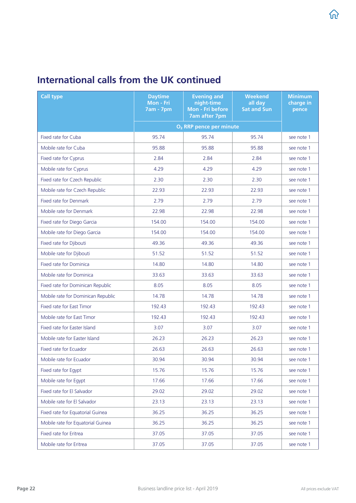| <b>Call type</b>                   | <b>Daytime</b><br>Mon - Fri<br><b>7am - 7pm</b> | <b>Evening and</b><br>night-time<br>Mon - Fri before<br><b>7am after 7pm</b> | <b>Weekend</b><br>all day<br><b>Sat and Sun</b> | <b>Minimum</b><br>charge in<br>pence |
|------------------------------------|-------------------------------------------------|------------------------------------------------------------------------------|-------------------------------------------------|--------------------------------------|
|                                    |                                                 | O <sub>2</sub> RRP pence per minute                                          |                                                 |                                      |
| Fixed rate for Cuba                | 95.74                                           | 95.74                                                                        | 95.74                                           | see note 1                           |
| Mobile rate for Cuba               | 95.88                                           | 95.88                                                                        | 95.88                                           | see note 1                           |
| Fixed rate for Cyprus              | 2.84                                            | 2.84                                                                         | 2.84                                            | see note 1                           |
| Mobile rate for Cyprus             | 4.29                                            | 4.29                                                                         | 4.29                                            | see note 1                           |
| Fixed rate for Czech Republic      | 2.30                                            | 2.30                                                                         | 2.30                                            | see note 1                           |
| Mobile rate for Czech Republic     | 22.93                                           | 22.93                                                                        | 22.93                                           | see note 1                           |
| Fixed rate for Denmark             | 2.79                                            | 2.79                                                                         | 2.79                                            | see note 1                           |
| Mobile rate for Denmark            | 22.98                                           | 22.98                                                                        | 22.98                                           | see note 1                           |
| Fixed rate for Diego Garcia        | 154.00                                          | 154.00                                                                       | 154.00                                          | see note 1                           |
| Mobile rate for Diego Garcia       | 154.00                                          | 154.00                                                                       | 154.00                                          | see note 1                           |
| Fixed rate for Djibouti            | 49.36                                           | 49.36                                                                        | 49.36                                           | see note 1                           |
| Mobile rate for Djibouti           | 51.52                                           | 51.52                                                                        | 51.52                                           | see note 1                           |
| <b>Fixed rate for Dominica</b>     | 14.80                                           | 14.80                                                                        | 14.80                                           | see note 1                           |
| Mobile rate for Dominica           | 33.63                                           | 33.63                                                                        | 33.63                                           | see note 1                           |
| Fixed rate for Dominican Republic  | 8.05                                            | 8.05                                                                         | 8.05                                            | see note 1                           |
| Mobile rate for Dominican Republic | 14.78                                           | 14.78                                                                        | 14.78                                           | see note 1                           |
| Fixed rate for East Timor          | 192.43                                          | 192.43                                                                       | 192.43                                          | see note 1                           |
| Mobile rate for East Timor         | 192.43                                          | 192.43                                                                       | 192.43                                          | see note 1                           |
| Fixed rate for Easter Island       | 3.07                                            | 3.07                                                                         | 3.07                                            | see note 1                           |
| Mobile rate for Easter Island      | 26.23                                           | 26.23                                                                        | 26.23                                           | see note 1                           |
| Fixed rate for Ecuador             | 26.63                                           | 26.63                                                                        | 26.63                                           | see note 1                           |
| Mobile rate for Ecuador            | 30.94                                           | 30.94                                                                        | 30.94                                           | see note 1                           |
| Fixed rate for Egypt               | 15.76                                           | 15.76                                                                        | 15.76                                           | see note 1                           |
| Mobile rate for Egypt              | 17.66                                           | 17.66                                                                        | 17.66                                           | see note 1                           |
| Fixed rate for El Salvador         | 29.02                                           | 29.02                                                                        | 29.02                                           | see note 1                           |
| Mobile rate for El Salvador        | 23.13                                           | 23.13                                                                        | 23.13                                           | see note 1                           |
| Fixed rate for Equatorial Guinea   | 36.25                                           | 36.25                                                                        | 36.25                                           | see note 1                           |
| Mobile rate for Equatorial Guinea  | 36.25                                           | 36.25                                                                        | 36.25                                           | see note 1                           |
| Fixed rate for Eritrea             | 37.05                                           | 37.05                                                                        | 37.05                                           | see note 1                           |
| Mobile rate for Eritrea            | 37.05                                           | 37.05                                                                        | 37.05                                           | see note 1                           |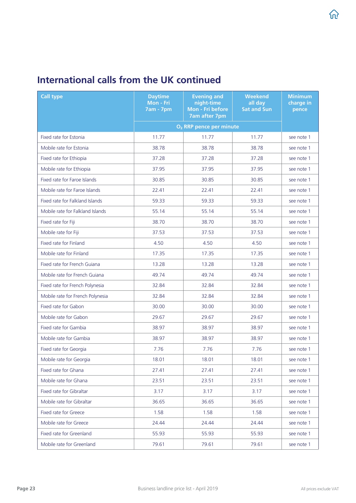| <b>Call type</b>                 | <b>Daytime</b><br>Mon - Fri<br><b>7am - 7pm</b> | <b>Evening and</b><br>night-time<br>Mon - Fri before<br><b>7am after 7pm</b> | <b>Weekend</b><br>all day<br><b>Sat and Sun</b> | <b>Minimum</b><br>charge in<br>pence |
|----------------------------------|-------------------------------------------------|------------------------------------------------------------------------------|-------------------------------------------------|--------------------------------------|
|                                  |                                                 | O <sub>2</sub> RRP pence per minute                                          |                                                 |                                      |
| Fixed rate for Estonia           | 11.77                                           | 11.77                                                                        | 11.77                                           | see note 1                           |
| Mobile rate for Estonia          | 38.78                                           | 38.78                                                                        | 38.78                                           | see note 1                           |
| Fixed rate for Ethiopia          | 37.28                                           | 37.28                                                                        | 37.28                                           | see note 1                           |
| Mobile rate for Ethiopia         | 37.95                                           | 37.95                                                                        | 37.95                                           | see note 1                           |
| Fixed rate for Faroe Islands     | 30.85                                           | 30.85                                                                        | 30.85                                           | see note 1                           |
| Mobile rate for Faroe Islands    | 22.41                                           | 22.41                                                                        | 22.41                                           | see note 1                           |
| Fixed rate for Falkland Islands  | 59.33                                           | 59.33                                                                        | 59.33                                           | see note 1                           |
| Mobile rate for Falkland Islands | 55.14                                           | 55.14                                                                        | 55.14                                           | see note 1                           |
| Fixed rate for Fiji              | 38.70                                           | 38.70                                                                        | 38.70                                           | see note 1                           |
| Mobile rate for Fiji             | 37.53                                           | 37.53                                                                        | 37.53                                           | see note 1                           |
| Fixed rate for Finland           | 4.50                                            | 4.50                                                                         | 4.50                                            | see note 1                           |
| Mobile rate for Finland          | 17.35                                           | 17.35                                                                        | 17.35                                           | see note 1                           |
| Fixed rate for French Guiana     | 13.28                                           | 13.28                                                                        | 13.28                                           | see note 1                           |
| Mobile rate for French Guiana    | 49.74                                           | 49.74                                                                        | 49.74                                           | see note 1                           |
| Fixed rate for French Polynesia  | 32.84                                           | 32.84                                                                        | 32.84                                           | see note 1                           |
| Mobile rate for French Polynesia | 32.84                                           | 32.84                                                                        | 32.84                                           | see note 1                           |
| Fixed rate for Gabon             | 30.00                                           | 30.00                                                                        | 30.00                                           | see note 1                           |
| Mobile rate for Gabon            | 29.67                                           | 29.67                                                                        | 29.67                                           | see note 1                           |
| Fixed rate for Gambia            | 38.97                                           | 38.97                                                                        | 38.97                                           | see note 1                           |
| Mobile rate for Gambia           | 38.97                                           | 38.97                                                                        | 38.97                                           | see note 1                           |
| Fixed rate for Georgia           | 7.76                                            | 7.76                                                                         | 7.76                                            | see note 1                           |
| Mobile rate for Georgia          | 18.01                                           | 18.01                                                                        | 18.01                                           | see note 1                           |
| Fixed rate for Ghana             | 27.41                                           | 27.41                                                                        | 27.41                                           | see note 1                           |
| Mobile rate for Ghana            | 23.51                                           | 23.51                                                                        | 23.51                                           | see note 1                           |
| Fixed rate for Gibraltar         | 3.17                                            | 3.17                                                                         | 3.17                                            | see note 1                           |
| Mobile rate for Gibraltar        | 36.65                                           | 36.65                                                                        | 36.65                                           | see note 1                           |
| Fixed rate for Greece            | 1.58                                            | 1.58                                                                         | 1.58                                            | see note 1                           |
| Mobile rate for Greece           | 24.44                                           | 24.44                                                                        | 24.44                                           | see note 1                           |
| Fixed rate for Greenland         | 55.93                                           | 55.93                                                                        | 55.93                                           | see note 1                           |
| Mobile rate for Greenland        | 79.61                                           | 79.61                                                                        | 79.61                                           | see note 1                           |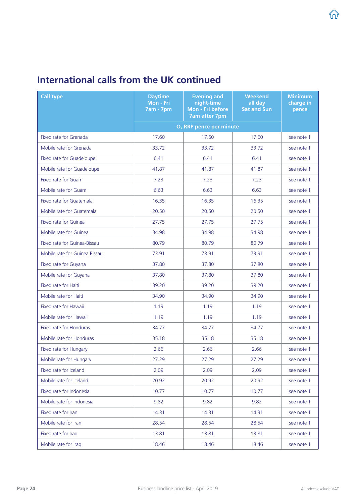| <b>Call type</b>              | <b>Daytime</b><br>Mon - Fri<br><b>7am - 7pm</b> | <b>Evening and</b><br>night-time<br>Mon - Fri before<br><b>7am after 7pm</b> | <b>Weekend</b><br>all day<br><b>Sat and Sun</b> | <b>Minimum</b><br>charge in<br>pence |
|-------------------------------|-------------------------------------------------|------------------------------------------------------------------------------|-------------------------------------------------|--------------------------------------|
|                               |                                                 | O <sub>2</sub> RRP pence per minute                                          |                                                 |                                      |
| Fixed rate for Grenada        | 17.60                                           | 17.60                                                                        | 17.60                                           | see note 1                           |
| Mobile rate for Grenada       | 33.72                                           | 33.72                                                                        | 33.72                                           | see note 1                           |
| Fixed rate for Guadeloupe     | 6.41                                            | 6.41                                                                         | 6.41                                            | see note 1                           |
| Mobile rate for Guadeloupe    | 41.87                                           | 41.87                                                                        | 41.87                                           | see note 1                           |
| Fixed rate for Guam           | 7.23                                            | 7.23                                                                         | 7.23                                            | see note 1                           |
| Mobile rate for Guam          | 6.63                                            | 6.63                                                                         | 6.63                                            | see note 1                           |
| Fixed rate for Guatemala      | 16.35                                           | 16.35                                                                        | 16.35                                           | see note 1                           |
| Mobile rate for Guatemala     | 20.50                                           | 20.50                                                                        | 20.50                                           | see note 1                           |
| Fixed rate for Guinea         | 27.75                                           | 27.75                                                                        | 27.75                                           | see note 1                           |
| Mobile rate for Guinea        | 34.98                                           | 34.98                                                                        | 34.98                                           | see note 1                           |
| Fixed rate for Guinea-Bissau  | 80.79                                           | 80.79                                                                        | 80.79                                           | see note 1                           |
| Mobile rate for Guinea Bissau | 73.91                                           | 73.91                                                                        | 73.91                                           | see note 1                           |
| Fixed rate for Guyana         | 37.80                                           | 37.80                                                                        | 37.80                                           | see note 1                           |
| Mobile rate for Guyana        | 37.80                                           | 37.80                                                                        | 37.80                                           | see note 1                           |
| Fixed rate for Haiti          | 39.20                                           | 39.20                                                                        | 39.20                                           | see note 1                           |
| Mobile rate for Haiti         | 34.90                                           | 34.90                                                                        | 34.90                                           | see note 1                           |
| Fixed rate for Hawaii         | 1.19                                            | 1.19                                                                         | 1.19                                            | see note 1                           |
| Mobile rate for Hawaii        | 1.19                                            | 1.19                                                                         | 1.19                                            | see note 1                           |
| Fixed rate for Honduras       | 34.77                                           | 34.77                                                                        | 34.77                                           | see note 1                           |
| Mobile rate for Honduras      | 35.18                                           | 35.18                                                                        | 35.18                                           | see note 1                           |
| Fixed rate for Hungary        | 2.66                                            | 2.66                                                                         | 2.66                                            | see note 1                           |
| Mobile rate for Hungary       | 27.29                                           | 27.29                                                                        | 27.29                                           | see note 1                           |
| Fixed rate for Iceland        | 2.09                                            | 2.09                                                                         | 2.09                                            | see note 1                           |
| Mobile rate for Iceland       | 20.92                                           | 20.92                                                                        | 20.92                                           | see note 1                           |
| Fixed rate for Indonesia      | 10.77                                           | 10.77                                                                        | 10.77                                           | see note 1                           |
| Mobile rate for Indonesia     | 9.82                                            | 9.82                                                                         | 9.82                                            | see note 1                           |
| Fixed rate for Iran           | 14.31                                           | 14.31                                                                        | 14.31                                           | see note 1                           |
| Mobile rate for Iran          | 28.54                                           | 28.54                                                                        | 28.54                                           | see note 1                           |
| Fixed rate for Iraq           | 13.81                                           | 13.81                                                                        | 13.81                                           | see note 1                           |
| Mobile rate for Iraq          | 18.46                                           | 18.46                                                                        | 18.46                                           | see note 1                           |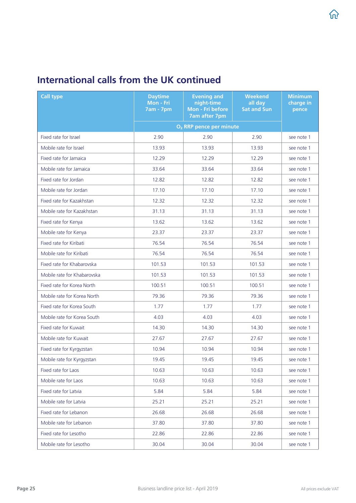| <b>Call type</b>            | <b>Daytime</b><br>Mon - Fri<br><b>7am - 7pm</b> | <b>Evening and</b><br>night-time<br>Mon - Fri before<br><b>7am after 7pm</b> | <b>Weekend</b><br>all day<br><b>Sat and Sun</b> | <b>Minimum</b><br>charge in<br>pence |
|-----------------------------|-------------------------------------------------|------------------------------------------------------------------------------|-------------------------------------------------|--------------------------------------|
|                             |                                                 | O <sub>2</sub> RRP pence per minute                                          |                                                 |                                      |
| Fixed rate for Israel       | 2.90                                            | 2.90                                                                         | 2.90                                            | see note 1                           |
| Mobile rate for Israel      | 13.93                                           | 13.93                                                                        | 13.93                                           | see note 1                           |
| Fixed rate for Jamaica      | 12.29                                           | 12.29                                                                        | 12.29                                           | see note 1                           |
| Mobile rate for Jamaica     | 33.64                                           | 33.64                                                                        | 33.64                                           | see note 1                           |
| Fixed rate for Jordan       | 12.82                                           | 12.82                                                                        | 12.82                                           | see note 1                           |
| Mobile rate for Jordan      | 17.10                                           | 17.10                                                                        | 17.10                                           | see note 1                           |
| Fixed rate for Kazakhstan   | 12.32                                           | 12.32                                                                        | 12.32                                           | see note 1                           |
| Mobile rate for Kazakhstan  | 31.13                                           | 31.13                                                                        | 31.13                                           | see note 1                           |
| Fixed rate for Kenya        | 13.62                                           | 13.62                                                                        | 13.62                                           | see note 1                           |
| Mobile rate for Kenya       | 23.37                                           | 23.37                                                                        | 23.37                                           | see note 1                           |
| Fixed rate for Kiribati     | 76.54                                           | 76.54                                                                        | 76.54                                           | see note 1                           |
| Mobile rate for Kiribati    | 76.54                                           | 76.54                                                                        | 76.54                                           | see note 1                           |
| Fixed rate for Khabarovska  | 101.53                                          | 101.53                                                                       | 101.53                                          | see note 1                           |
| Mobile rate for Khabarovska | 101.53                                          | 101.53                                                                       | 101.53                                          | see note 1                           |
| Fixed rate for Korea North  | 100.51                                          | 100.51                                                                       | 100.51                                          | see note 1                           |
| Mobile rate for Korea North | 79.36                                           | 79.36                                                                        | 79.36                                           | see note 1                           |
| Fixed rate for Korea South  | 1.77                                            | 1.77                                                                         | 1.77                                            | see note 1                           |
| Mobile rate for Korea South | 4.03                                            | 4.03                                                                         | 4.03                                            | see note 1                           |
| Fixed rate for Kuwait       | 14.30                                           | 14.30                                                                        | 14.30                                           | see note 1                           |
| Mobile rate for Kuwait      | 27.67                                           | 27.67                                                                        | 27.67                                           | see note 1                           |
| Fixed rate for Kyrgyzstan   | 10.94                                           | 10.94                                                                        | 10.94                                           | see note 1                           |
| Mobile rate for Kyrgyzstan  | 19.45                                           | 19.45                                                                        | 19.45                                           | see note 1                           |
| Fixed rate for Laos         | 10.63                                           | 10.63                                                                        | 10.63                                           | see note 1                           |
| Mobile rate for Laos        | 10.63                                           | 10.63                                                                        | 10.63                                           | see note 1                           |
| Fixed rate for Latvia       | 5.84                                            | 5.84                                                                         | 5.84                                            | see note 1                           |
| Mobile rate for Latvia      | 25.21                                           | 25.21                                                                        | 25.21                                           | see note 1                           |
| Fixed rate for Lebanon      | 26.68                                           | 26.68                                                                        | 26.68                                           | see note 1                           |
| Mobile rate for Lebanon     | 37.80                                           | 37.80                                                                        | 37.80                                           | see note 1                           |
| Fixed rate for Lesotho      | 22.86                                           | 22.86                                                                        | 22.86                                           | see note 1                           |
| Mobile rate for Lesotho     | 30.04                                           | 30.04                                                                        | 30.04                                           | see note 1                           |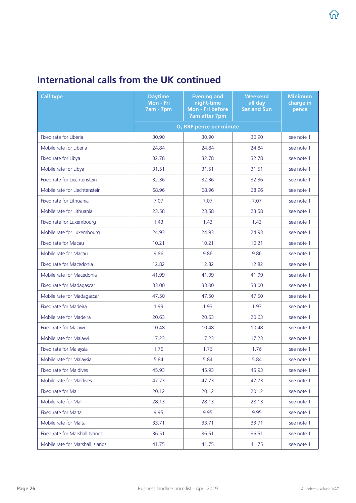| <b>Call type</b>                 | <b>Daytime</b><br>Mon - Fri<br><b>7am - 7pm</b> | <b>Evening and</b><br>night-time<br>Mon - Fri before<br><b>7am after 7pm</b> | <b>Weekend</b><br>all day<br><b>Sat and Sun</b> | <b>Minimum</b><br>charge in<br>pence |
|----------------------------------|-------------------------------------------------|------------------------------------------------------------------------------|-------------------------------------------------|--------------------------------------|
|                                  |                                                 | O <sub>2</sub> RRP pence per minute                                          |                                                 |                                      |
| Fixed rate for Liberia           | 30.90                                           | 30.90                                                                        | 30.90                                           | see note 1                           |
| Mobile rate for Liberia          | 24.84                                           | 24.84                                                                        | 24.84                                           | see note 1                           |
| Fixed rate for Libya             | 32.78                                           | 32.78                                                                        | 32.78                                           | see note 1                           |
| Mobile rate for Libya            | 31.51                                           | 31.51                                                                        | 31.51                                           | see note 1                           |
| Fixed rate for Liechtenstein     | 32.36                                           | 32.36                                                                        | 32.36                                           | see note 1                           |
| Mobile rate for Liechtenstein    | 68.96                                           | 68.96                                                                        | 68.96                                           | see note 1                           |
| Fixed rate for Lithuania         | 7.07                                            | 7.07                                                                         | 7.07                                            | see note 1                           |
| Mobile rate for Lithuania        | 23.58                                           | 23.58                                                                        | 23.58                                           | see note 1                           |
| Fixed rate for Luxembourg        | 1.43                                            | 1.43                                                                         | 1.43                                            | see note 1                           |
| Mobile rate for Luxembourg       | 24.93                                           | 24.93                                                                        | 24.93                                           | see note 1                           |
| <b>Fixed rate for Macau</b>      | 10.21                                           | 10.21                                                                        | 10.21                                           | see note 1                           |
| Mobile rate for Macau            | 9.86                                            | 9.86                                                                         | 9.86                                            | see note 1                           |
| Fixed rate for Macedonia         | 12.82                                           | 12.82                                                                        | 12.82                                           | see note 1                           |
| Mobile rate for Macedonia        | 41.99                                           | 41.99                                                                        | 41.99                                           | see note 1                           |
| Fixed rate for Madagascar        | 33.00                                           | 33.00                                                                        | 33.00                                           | see note 1                           |
| Mobile rate for Madagascar       | 47.50                                           | 47.50                                                                        | 47.50                                           | see note 1                           |
| Fixed rate for Madeira           | 1.93                                            | 1.93                                                                         | 1.93                                            | see note 1                           |
| Mobile rate for Madeira          | 20.63                                           | 20.63                                                                        | 20.63                                           | see note 1                           |
| Fixed rate for Malawi            | 10.48                                           | 10.48                                                                        | 10.48                                           | see note 1                           |
| Mobile rate for Malawi           | 17.23                                           | 17.23                                                                        | 17.23                                           | see note 1                           |
| Fixed rate for Malaysia          | 1.76                                            | 1.76                                                                         | 1.76                                            | see note 1                           |
| Mobile rate for Malaysia         | 5.84                                            | 5.84                                                                         | 5.84                                            | see note 1                           |
| <b>Fixed rate for Maldives</b>   | 45.93                                           | 45.93                                                                        | 45.93                                           | see note 1                           |
| Mobile rate for Maldives         | 47.73                                           | 47.73                                                                        | 47.73                                           | see note 1                           |
| Fixed rate for Mali              | 20.12                                           | 20.12                                                                        | 20.12                                           | see note 1                           |
| Mobile rate for Mali             | 28.13                                           | 28.13                                                                        | 28.13                                           | see note 1                           |
| Fixed rate for Malta             | 9.95                                            | 9.95                                                                         | 9.95                                            | see note 1                           |
| Mobile rate for Malta            | 33.71                                           | 33.71                                                                        | 33.71                                           | see note 1                           |
| Fixed rate for Marshall Islands  | 36.51                                           | 36.51                                                                        | 36.51                                           | see note 1                           |
| Mobile rate for Marshall Islands | 41.75                                           | 41.75                                                                        | 41.75                                           | see note 1                           |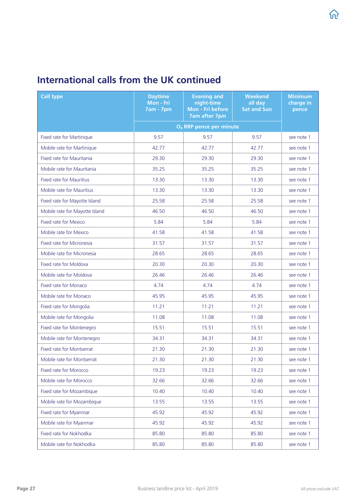| <b>Call type</b>                | <b>Daytime</b><br>Mon - Fri<br><b>7am - 7pm</b> | <b>Evening and</b><br>night-time<br>Mon - Fri before<br><b>7am after 7pm</b> | <b>Weekend</b><br>all day<br><b>Sat and Sun</b> | <b>Minimum</b><br>charge in<br>pence |
|---------------------------------|-------------------------------------------------|------------------------------------------------------------------------------|-------------------------------------------------|--------------------------------------|
|                                 |                                                 | O <sub>2</sub> RRP pence per minute                                          |                                                 |                                      |
| Fixed rate for Martinique       | 9.57                                            | 9.57                                                                         | 9.57                                            | see note 1                           |
| Mobile rate for Martinique      | 42.77                                           | 42.77                                                                        | 42.77                                           | see note 1                           |
| Fixed rate for Mauritania       | 29.30                                           | 29.30                                                                        | 29.30                                           | see note 1                           |
| Mobile rate for Mauritania      | 35.25                                           | 35.25                                                                        | 35.25                                           | see note 1                           |
| <b>Fixed rate for Mauritius</b> | 13.30                                           | 13.30                                                                        | 13.30                                           | see note 1                           |
| Mobile rate for Mauritius       | 13.30                                           | 13.30                                                                        | 13.30                                           | see note 1                           |
| Fixed rate for Mayotte Island   | 25.58                                           | 25.58                                                                        | 25.58                                           | see note 1                           |
| Mobile rate for Mayotte Island  | 46.50                                           | 46.50                                                                        | 46.50                                           | see note 1                           |
| Fixed rate for Mexico           | 5.84                                            | 5.84                                                                         | 5.84                                            | see note 1                           |
| Mobile rate for Mexico          | 41.58                                           | 41.58                                                                        | 41.58                                           | see note 1                           |
| Fixed rate for Micronesia       | 31.57                                           | 31.57                                                                        | 31.57                                           | see note 1                           |
| Mobile rate for Micronesia      | 28.65                                           | 28.65                                                                        | 28.65                                           | see note 1                           |
| Fixed rate for Moldova          | 20.30                                           | 20.30                                                                        | 20.30                                           | see note 1                           |
| Mobile rate for Moldova         | 26.46                                           | 26.46                                                                        | 26.46                                           | see note 1                           |
| Fixed rate for Monaco           | 4.74                                            | 4.74                                                                         | 4.74                                            | see note 1                           |
| Mobile rate for Monaco          | 45.95                                           | 45.95                                                                        | 45.95                                           | see note 1                           |
| Fixed rate for Mongolia         | 11.21                                           | 11.21                                                                        | 11.21                                           | see note 1                           |
| Mobile rate for Mongolia        | 11.08                                           | 11.08                                                                        | 11.08                                           | see note 1                           |
| Fixed rate for Montenegro       | 15.51                                           | 15.51                                                                        | 15.51                                           | see note 1                           |
| Mobile rate for Montenegro      | 34.31                                           | 34.31                                                                        | 34.31                                           | see note 1                           |
| Fixed rate for Montserrat       | 21.30                                           | 21.30                                                                        | 21.30                                           | see note 1                           |
| Mobile rate for Montserrat      | 21.30                                           | 21.30                                                                        | 21.30                                           | see note 1                           |
| Fixed rate for Morocco          | 19.23                                           | 19.23                                                                        | 19.23                                           | see note 1                           |
| Mobile rate for Morocco         | 32.66                                           | 32.66                                                                        | 32.66                                           | see note 1                           |
| Fixed rate for Mozambique       | 10.40                                           | 10.40                                                                        | 10.40                                           | see note 1                           |
| Mobile rate for Mozambique      | 13.55                                           | 13.55                                                                        | 13.55                                           | see note 1                           |
| Fixed rate for Myanmar          | 45.92                                           | 45.92                                                                        | 45.92                                           | see note 1                           |
| Mobile rate for Myanmar         | 45.92                                           | 45.92                                                                        | 45.92                                           | see note 1                           |
| Fixed rate for Nokhodka         | 85.80                                           | 85.80                                                                        | 85.80                                           | see note 1                           |
| Mobile rate for Nokhodka        | 85.80                                           | 85.80                                                                        | 85.80                                           | see note 1                           |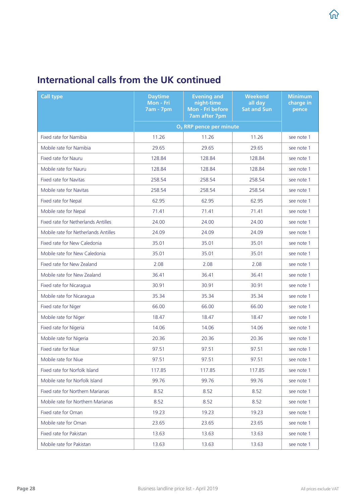| <b>Call type</b>                     | <b>Daytime</b><br>Mon - Fri<br><b>7am - 7pm</b> | <b>Evening and</b><br>night-time<br>Mon - Fri before<br><b>7am after 7pm</b> | <b>Weekend</b><br>all day<br><b>Sat and Sun</b> | <b>Minimum</b><br>charge in<br>pence |
|--------------------------------------|-------------------------------------------------|------------------------------------------------------------------------------|-------------------------------------------------|--------------------------------------|
|                                      |                                                 | O <sub>2</sub> RRP pence per minute                                          |                                                 |                                      |
| Fixed rate for Namibia               | 11.26                                           | 11.26                                                                        | 11.26                                           | see note 1                           |
| Mobile rate for Namibia              | 29.65                                           | 29.65                                                                        | 29.65                                           | see note 1                           |
| <b>Fixed rate for Nauru</b>          | 128.84                                          | 128.84                                                                       | 128.84                                          | see note 1                           |
| Mobile rate for Nauru                | 128.84                                          | 128.84                                                                       | 128.84                                          | see note 1                           |
| Fixed rate for Navitas               | 258.54                                          | 258.54                                                                       | 258.54                                          | see note 1                           |
| Mobile rate for Navitas              | 258.54                                          | 258.54                                                                       | 258.54                                          | see note 1                           |
| Fixed rate for Nepal                 | 62.95                                           | 62.95                                                                        | 62.95                                           | see note 1                           |
| Mobile rate for Nepal                | 71.41                                           | 71.41                                                                        | 71.41                                           | see note 1                           |
| Fixed rate for Netherlands Antilles  | 24.00                                           | 24.00                                                                        | 24.00                                           | see note 1                           |
| Mobile rate for Netherlands Antilles | 24.09                                           | 24.09                                                                        | 24.09                                           | see note 1                           |
| Fixed rate for New Caledonia         | 35.01                                           | 35.01                                                                        | 35.01                                           | see note 1                           |
| Mobile rate for New Caledonia        | 35.01                                           | 35.01                                                                        | 35.01                                           | see note 1                           |
| Fixed rate for New Zealand           | 2.08                                            | 2.08                                                                         | 2.08                                            | see note 1                           |
| Mobile rate for New Zealand          | 36.41                                           | 36.41                                                                        | 36.41                                           | see note 1                           |
| Fixed rate for Nicaragua             | 30.91                                           | 30.91                                                                        | 30.91                                           | see note 1                           |
| Mobile rate for Nicaragua            | 35.34                                           | 35.34                                                                        | 35.34                                           | see note 1                           |
| Fixed rate for Niger                 | 66.00                                           | 66.00                                                                        | 66.00                                           | see note 1                           |
| Mobile rate for Niger                | 18.47                                           | 18.47                                                                        | 18.47                                           | see note 1                           |
| Fixed rate for Nigeria               | 14.06                                           | 14.06                                                                        | 14.06                                           | see note 1                           |
| Mobile rate for Nigeria              | 20.36                                           | 20.36                                                                        | 20.36                                           | see note 1                           |
| Fixed rate for Niue                  | 97.51                                           | 97.51                                                                        | 97.51                                           | see note 1                           |
| Mobile rate for Niue                 | 97.51                                           | 97.51                                                                        | 97.51                                           | see note 1                           |
| Fixed rate for Norfolk Island        | 117.85                                          | 117.85                                                                       | 117.85                                          | see note 1                           |
| Mobile rate for Norfolk Island       | 99.76                                           | 99.76                                                                        | 99.76                                           | see note 1                           |
| Fixed rate for Northern Marianas     | 8.52                                            | 8.52                                                                         | 8.52                                            | see note 1                           |
| Mobile rate for Northern Marianas    | 8.52                                            | 8.52                                                                         | 8.52                                            | see note 1                           |
| Fixed rate for Oman                  | 19.23                                           | 19.23                                                                        | 19.23                                           | see note 1                           |
| Mobile rate for Oman                 | 23.65                                           | 23.65                                                                        | 23.65                                           | see note 1                           |
| Fixed rate for Pakistan              | 13.63                                           | 13.63                                                                        | 13.63                                           | see note 1                           |
| Mobile rate for Pakistan             | 13.63                                           | 13.63                                                                        | 13.63                                           | see note 1                           |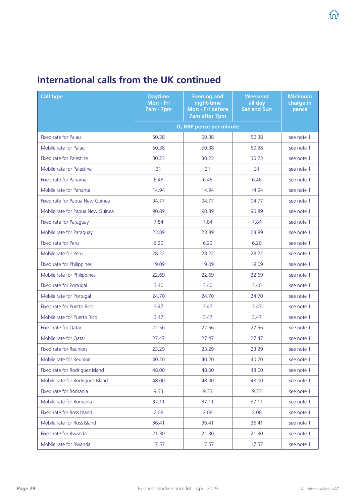| <b>Call type</b>                 | <b>Daytime</b><br>Mon - Fri<br><b>7am - 7pm</b> | <b>Evening and</b><br>night-time<br>Mon - Fri before<br><b>7am after 7pm</b> | <b>Weekend</b><br>all day<br><b>Sat and Sun</b> | <b>Minimum</b><br>charge in<br>pence |
|----------------------------------|-------------------------------------------------|------------------------------------------------------------------------------|-------------------------------------------------|--------------------------------------|
|                                  |                                                 | O <sub>2</sub> RRP pence per minute                                          |                                                 |                                      |
| Fixed rate for Palau             | 50.38                                           | 50.38                                                                        | 50.38                                           | see note 1                           |
| Mobile rate for Palau            | 50.38                                           | 50.38                                                                        | 50.38                                           | see note 1                           |
| Fixed rate for Palestine         | 30.23                                           | 30.23                                                                        | 30.23                                           | see note 1                           |
| Mobile rate for Palestine        | 31                                              | 31                                                                           | 31                                              | see note 1                           |
| Fixed rate for Panama            | 6.46                                            | 6.46                                                                         | 6.46                                            | see note 1                           |
| Mobile rate for Panama           | 14.94                                           | 14.94                                                                        | 14.94                                           | see note 1                           |
| Fixed rate for Papua New Guinea  | 94.77                                           | 94.77                                                                        | 94.77                                           | see note 1                           |
| Mobile rate for Papua New Guinea | 90.89                                           | 90.89                                                                        | 90.89                                           | see note 1                           |
| Fixed rate for Paraguay          | 7.84                                            | 7.84                                                                         | 7.84                                            | see note 1                           |
| Mobile rate for Paraguay         | 23.89                                           | 23.89                                                                        | 23.89                                           | see note 1                           |
| Fixed rate for Peru              | 6.20                                            | 6.20                                                                         | 6.20                                            | see note 1                           |
| Mobile rate for Peru             | 28.22                                           | 28.22                                                                        | 28.22                                           | see note 1                           |
| Fixed rate for Philippines       | 19.09                                           | 19.09                                                                        | 19.09                                           | see note 1                           |
| Mobile rate for Philippines      | 22.69                                           | 22.69                                                                        | 22.69                                           | see note 1                           |
| Fixed rate for Portugal          | 3.40                                            | 3.40                                                                         | 3.40                                            | see note 1                           |
| Mobile rate for Portugal         | 24.70                                           | 24.70                                                                        | 24.70                                           | see note 1                           |
| Fixed rate for Puerto Rico       | 3.47                                            | 3.47                                                                         | 3.47                                            | see note 1                           |
| Mobile rate for Puerto Rico      | 3.47                                            | 3.47                                                                         | 3.47                                            | see note 1                           |
| Fixed rate for Qatar             | 22.56                                           | 22.56                                                                        | 22.56                                           | see note 1                           |
| Mobile rate for Qatar            | 27.47                                           | 27.47                                                                        | 27.47                                           | see note 1                           |
| Fixed rate for Reunion           | 23.29                                           | 23.29                                                                        | 23.29                                           | see note 1                           |
| Mobile rate for Reunion          | 40.20                                           | 40.20                                                                        | 40.20                                           | see note 1                           |
| Fixed rate for Rodriguez Island  | 48.00                                           | 48.00                                                                        | 48.00                                           | see note 1                           |
| Mobile rate for Rodriguez Island | 48.00                                           | 48.00                                                                        | 48.00                                           | see note 1                           |
| Fixed rate for Romania           | 9.33                                            | 9.33                                                                         | 9.33                                            | see note 1                           |
| Mobile rate for Romania          | 37.11                                           | 37.11                                                                        | 37.11                                           | see note 1                           |
| Fixed rate for Ross Island       | 2.08                                            | 2.08                                                                         | 2.08                                            | see note 1                           |
| Mobile rate for Ross Island      | 36.41                                           | 36.41                                                                        | 36.41                                           | see note 1                           |
| Fixed rate for Rwanda            | 21.30                                           | 21.30                                                                        | 21.30                                           | see note 1                           |
| Mobile rate for Rwanda           | 17.57                                           | 17.57                                                                        | 17.57                                           | see note 1                           |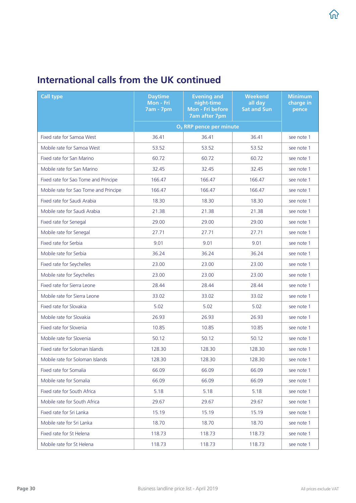| <b>Call type</b>                      | <b>Daytime</b><br>Mon - Fri<br><b>7am - 7pm</b> | <b>Evening and</b><br>night-time<br>Mon - Fri before<br><b>7am after 7pm</b> | <b>Weekend</b><br>all day<br><b>Sat and Sun</b> | <b>Minimum</b><br>charge in<br>pence |
|---------------------------------------|-------------------------------------------------|------------------------------------------------------------------------------|-------------------------------------------------|--------------------------------------|
|                                       |                                                 | O <sub>2</sub> RRP pence per minute                                          |                                                 |                                      |
| Fixed rate for Samoa West             | 36.41                                           | 36.41                                                                        | 36.41                                           | see note 1                           |
| Mobile rate for Samoa West            | 53.52                                           | 53.52                                                                        | 53.52                                           | see note 1                           |
| Fixed rate for San Marino             | 60.72                                           | 60.72                                                                        | 60.72                                           | see note 1                           |
| Mobile rate for San Marino            | 32.45                                           | 32.45                                                                        | 32.45                                           | see note 1                           |
| Fixed rate for Sao Tome and Principe  | 166.47                                          | 166.47                                                                       | 166.47                                          | see note 1                           |
| Mobile rate for Sao Tome and Principe | 166.47                                          | 166.47                                                                       | 166.47                                          | see note 1                           |
| Fixed rate for Saudi Arabia           | 18.30                                           | 18.30                                                                        | 18.30                                           | see note 1                           |
| Mobile rate for Saudi Arabia          | 21.38                                           | 21.38                                                                        | 21.38                                           | see note 1                           |
| Fixed rate for Senegal                | 29.00                                           | 29.00                                                                        | 29.00                                           | see note 1                           |
| Mobile rate for Senegal               | 27.71                                           | 27.71                                                                        | 27.71                                           | see note 1                           |
| Fixed rate for Serbia                 | 9.01                                            | 9.01                                                                         | 9.01                                            | see note 1                           |
| Mobile rate for Serbia                | 36.24                                           | 36.24                                                                        | 36.24                                           | see note 1                           |
| Fixed rate for Seychelles             | 23.00                                           | 23.00                                                                        | 23.00                                           | see note 1                           |
| Mobile rate for Seychelles            | 23.00                                           | 23.00                                                                        | 23.00                                           | see note 1                           |
| Fixed rate for Sierra Leone           | 28.44                                           | 28.44                                                                        | 28.44                                           | see note 1                           |
| Mobile rate for Sierra Leone          | 33.02                                           | 33.02                                                                        | 33.02                                           | see note 1                           |
| Fixed rate for Slovakia               | 5.02                                            | 5.02                                                                         | 5.02                                            | see note 1                           |
| Mobile rate for Slovakia              | 26.93                                           | 26.93                                                                        | 26.93                                           | see note 1                           |
| Fixed rate for Slovenia               | 10.85                                           | 10.85                                                                        | 10.85                                           | see note 1                           |
| Mobile rate for Slovenia              | 50.12                                           | 50.12                                                                        | 50.12                                           | see note 1                           |
| Fixed rate for Soloman Islands        | 128.30                                          | 128.30                                                                       | 128.30                                          | see note 1                           |
| Mobile rate for Soloman Islands       | 128.30                                          | 128.30                                                                       | 128.30                                          | see note 1                           |
| Fixed rate for Somalia                | 66.09                                           | 66.09                                                                        | 66.09                                           | see note 1                           |
| Mobile rate for Somalia               | 66.09                                           | 66.09                                                                        | 66.09                                           | see note 1                           |
| Fixed rate for South Africa           | 5.18                                            | 5.18                                                                         | 5.18                                            | see note 1                           |
| Mobile rate for South Africa          | 29.67                                           | 29.67                                                                        | 29.67                                           | see note 1                           |
| Fixed rate for Sri Lanka              | 15.19                                           | 15.19                                                                        | 15.19                                           | see note 1                           |
| Mobile rate for Sri Lanka             | 18.70                                           | 18.70                                                                        | 18.70                                           | see note 1                           |
| Fixed rate for St Helena              | 118.73                                          | 118.73                                                                       | 118.73                                          | see note 1                           |
| Mobile rate for St Helena             | 118.73                                          | 118.73                                                                       | 118.73                                          | see note 1                           |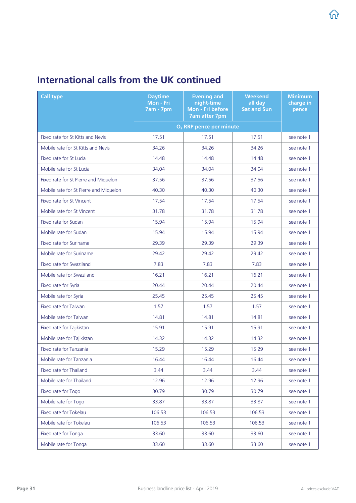| <b>Call type</b>                       | <b>Daytime</b><br>Mon - Fri<br><b>7am - 7pm</b> | <b>Evening and</b><br>night-time<br>Mon - Fri before<br><b>7am after 7pm</b> | <b>Weekend</b><br>all day<br><b>Sat and Sun</b> | <b>Minimum</b><br>charge in<br>pence |
|----------------------------------------|-------------------------------------------------|------------------------------------------------------------------------------|-------------------------------------------------|--------------------------------------|
|                                        |                                                 | O <sub>2</sub> RRP pence per minute                                          |                                                 |                                      |
| Fixed rate for St Kitts and Nevis      | 17.51                                           | 17.51                                                                        | 17.51                                           | see note 1                           |
| Mobile rate for St Kitts and Nevis     | 34.26                                           | 34.26                                                                        | 34.26                                           | see note 1                           |
| Fixed rate for St Lucia                | 14.48                                           | 14.48                                                                        | 14.48                                           | see note 1                           |
| Mobile rate for St Lucia               | 34.04                                           | 34.04                                                                        | 34.04                                           | see note 1                           |
| Fixed rate for St Pierre and Miquelon  | 37.56                                           | 37.56                                                                        | 37.56                                           | see note 1                           |
| Mobile rate for St Pierre and Miquelon | 40.30                                           | 40.30                                                                        | 40.30                                           | see note 1                           |
| Fixed rate for St Vincent              | 17.54                                           | 17.54                                                                        | 17.54                                           | see note 1                           |
| Mobile rate for St Vincent             | 31.78                                           | 31.78                                                                        | 31.78                                           | see note 1                           |
| Fixed rate for Sudan                   | 15.94                                           | 15.94                                                                        | 15.94                                           | see note 1                           |
| Mobile rate for Sudan                  | 15.94                                           | 15.94                                                                        | 15.94                                           | see note 1                           |
| Fixed rate for Suriname                | 29.39                                           | 29.39                                                                        | 29.39                                           | see note 1                           |
| Mobile rate for Suriname               | 29.42                                           | 29.42                                                                        | 29.42                                           | see note 1                           |
| Fixed rate for Swaziland               | 7.83                                            | 7.83                                                                         | 7.83                                            | see note 1                           |
| Mobile rate for Swaziland              | 16.21                                           | 16.21                                                                        | 16.21                                           | see note 1                           |
| Fixed rate for Syria                   | 20.44                                           | 20.44                                                                        | 20.44                                           | see note 1                           |
| Mobile rate for Syria                  | 25.45                                           | 25.45                                                                        | 25.45                                           | see note 1                           |
| Fixed rate for Taiwan                  | 1.57                                            | 1.57                                                                         | 1.57                                            | see note 1                           |
| Mobile rate for Taiwan                 | 14.81                                           | 14.81                                                                        | 14.81                                           | see note 1                           |
| Fixed rate for Tajikistan              | 15.91                                           | 15.91                                                                        | 15.91                                           | see note 1                           |
| Mobile rate for Tajikistan             | 14.32                                           | 14.32                                                                        | 14.32                                           | see note 1                           |
| Fixed rate for Tanzania                | 15.29                                           | 15.29                                                                        | 15.29                                           | see note 1                           |
| Mobile rate for Tanzania               | 16.44                                           | 16.44                                                                        | 16.44                                           | see note 1                           |
| Fixed rate for Thailand                | 3.44                                            | 3.44                                                                         | 3.44                                            | see note 1                           |
| Mobile rate for Thailand               | 12.96                                           | 12.96                                                                        | 12.96                                           | see note 1                           |
| Fixed rate for Togo                    | 30.79                                           | 30.79                                                                        | 30.79                                           | see note 1                           |
| Mobile rate for Togo                   | 33.87                                           | 33.87                                                                        | 33.87                                           | see note 1                           |
| Fixed rate for Tokelau                 | 106.53                                          | 106.53                                                                       | 106.53                                          | see note 1                           |
| Mobile rate for Tokelau                | 106.53                                          | 106.53                                                                       | 106.53                                          | see note 1                           |
| Fixed rate for Tonga                   | 33.60                                           | 33.60                                                                        | 33.60                                           | see note 1                           |
| Mobile rate for Tonga                  | 33.60                                           | 33.60                                                                        | 33.60                                           | see note 1                           |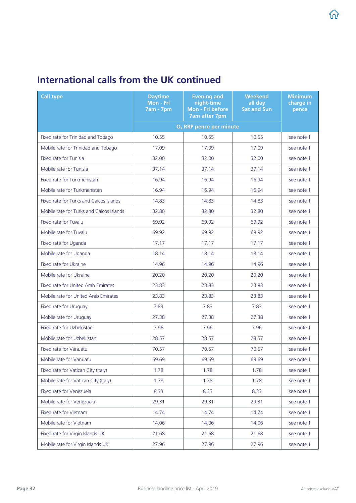| <b>Call type</b>                         | <b>Daytime</b><br>Mon - Fri<br><b>7am - 7pm</b> | <b>Evening and</b><br>night-time<br>Mon - Fri before<br><b>7am after 7pm</b> | <b>Weekend</b><br>all day<br><b>Sat and Sun</b> | <b>Minimum</b><br>charge in<br>pence |
|------------------------------------------|-------------------------------------------------|------------------------------------------------------------------------------|-------------------------------------------------|--------------------------------------|
|                                          |                                                 | O <sub>2</sub> RRP pence per minute                                          |                                                 |                                      |
| Fixed rate for Trinidad and Tobago       | 10.55                                           | 10.55                                                                        | 10.55                                           | see note 1                           |
| Mobile rate for Trinidad and Tobago      | 17.09                                           | 17.09                                                                        | 17.09                                           | see note 1                           |
| Fixed rate for Tunisia                   | 32.00                                           | 32.00                                                                        | 32.00                                           | see note 1                           |
| Mobile rate for Tunisia                  | 37.14                                           | 37.14                                                                        | 37.14                                           | see note 1                           |
| Fixed rate for Turkmenistan              | 16.94                                           | 16.94                                                                        | 16.94                                           | see note 1                           |
| Mobile rate for Turkmenistan             | 16.94                                           | 16.94                                                                        | 16.94                                           | see note 1                           |
| Fixed rate for Turks and Caicos Islands  | 14.83                                           | 14.83                                                                        | 14.83                                           | see note 1                           |
| Mobile rate for Turks and Caicos Islands | 32.80                                           | 32.80                                                                        | 32.80                                           | see note 1                           |
| <b>Fixed rate for Tuvalu</b>             | 69.92                                           | 69.92                                                                        | 69.92                                           | see note 1                           |
| Mobile rate for Tuvalu                   | 69.92                                           | 69.92                                                                        | 69.92                                           | see note 1                           |
| Fixed rate for Uganda                    | 17.17                                           | 17.17                                                                        | 17.17                                           | see note 1                           |
| Mobile rate for Uganda                   | 18.14                                           | 18.14                                                                        | 18.14                                           | see note 1                           |
| Fixed rate for Ukraine                   | 14.96                                           | 14.96                                                                        | 14.96                                           | see note 1                           |
| Mobile rate for Ukraine                  | 20.20                                           | 20.20                                                                        | 20.20                                           | see note 1                           |
| Fixed rate for United Arab Emirates      | 23.83                                           | 23.83                                                                        | 23.83                                           | see note 1                           |
| Mobile rate for United Arab Emirates     | 23.83                                           | 23.83                                                                        | 23.83                                           | see note 1                           |
| Fixed rate for Uruguay                   | 7.83                                            | 7.83                                                                         | 7.83                                            | see note 1                           |
| Mobile rate for Uruguay                  | 27.38                                           | 27.38                                                                        | 27.38                                           | see note 1                           |
| Fixed rate for Uzbekistan                | 7.96                                            | 7.96                                                                         | 7.96                                            | see note 1                           |
| Mobile rate for Uzbekistan               | 28.57                                           | 28.57                                                                        | 28.57                                           | see note 1                           |
| Fixed rate for Vanuatu                   | 70.57                                           | 70.57                                                                        | 70.57                                           | see note 1                           |
| Mobile rate for Vanuatu                  | 69.69                                           | 69.69                                                                        | 69.69                                           | see note 1                           |
| Fixed rate for Vatican City (Italy)      | 1.78                                            | 1.78                                                                         | 1.78                                            | see note 1                           |
| Mobile rate for Vatican City (Italy)     | 1.78                                            | 1.78                                                                         | 1.78                                            | see note 1                           |
| Fixed rate for Venezuela                 | 8.33                                            | 8.33                                                                         | 8.33                                            | see note 1                           |
| Mobile rate for Venezuela                | 29.31                                           | 29.31                                                                        | 29.31                                           | see note 1                           |
| Fixed rate for Vietnam                   | 14.74                                           | 14.74                                                                        | 14.74                                           | see note 1                           |
| Mobile rate for Vietnam                  | 14.06                                           | 14.06                                                                        | 14.06                                           | see note 1                           |
| Fixed rate for Virgin Islands UK         | 21.68                                           | 21.68                                                                        | 21.68                                           | see note 1                           |
| Mobile rate for Virgin Islands UK        | 27.96                                           | 27.96                                                                        | 27.96                                           | see note 1                           |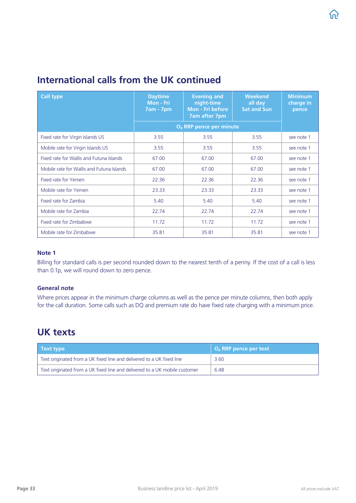<span id="page-32-0"></span>

| <b>Call type</b>                          | <b>Daytime</b><br>Mon - Fri<br><b>7am - 7pm</b> | <b>Evening and</b><br>night-time<br>Mon - Fri before<br><b>7am after 7pm</b> | <b>Weekend</b><br>all day<br><b>Sat and Sun</b> | <b>Minimum</b><br>charge in<br>pence |
|-------------------------------------------|-------------------------------------------------|------------------------------------------------------------------------------|-------------------------------------------------|--------------------------------------|
|                                           |                                                 | O <sub>2</sub> RRP pence per minute                                          |                                                 |                                      |
| Fixed rate for Virgin Islands US          | 3.55                                            | 3.55                                                                         | 3.55                                            | see note 1                           |
| Mobile rate for Virgin Islands US         | 3.55                                            | 3.55                                                                         | 3.55                                            | see note 1                           |
| Fixed rate for Wallis and Futuna Islands  | 67.00                                           | 67.00                                                                        | 67.00                                           | see note 1                           |
| Mobile rate for Wallis and Futuna Islands | 67.00                                           | 67.00                                                                        | 67.00                                           | see note 1                           |
| Fixed rate for Yemen                      | 22.36                                           | 22.36                                                                        | 22.36                                           | see note 1                           |
| Mobile rate for Yemen                     | 23.33                                           | 23.33                                                                        | 23.33                                           | see note 1                           |
| Fixed rate for Zambia                     | 5.40                                            | 5.40                                                                         | 5.40                                            | see note 1                           |
| Mobile rate for Zambia                    | 22.74                                           | 22.74                                                                        | 22.74                                           | see note 1                           |
| Fixed rate for Zimbabwe                   | 11.72                                           | 11.72                                                                        | 11.72                                           | see note 1                           |
| Mobile rate for Zimbabwe                  | 35.81                                           | 35.81                                                                        | 35.81                                           | see note 1                           |

#### Note 1

Billing for standard calls is per second rounded down to the nearest tenth of a penny. If the cost of a call is less than 0.1p, we will round down to zero pence.

#### General note

Where prices appear in the minimum charge columns as well as the pence per minute columns, then both apply for the call duration. Some calls such as DQ and premium rate do have fixed rate charging with a minimum price.

### UK texts

| Text type                                                                  | $O2$ RRP pence per text |
|----------------------------------------------------------------------------|-------------------------|
| Text originated from a UK fixed line and delivered to a UK fixed line      | 3.60                    |
| Text originated from a UK fixed line and delivered to a UK mobile customer | 6.48                    |